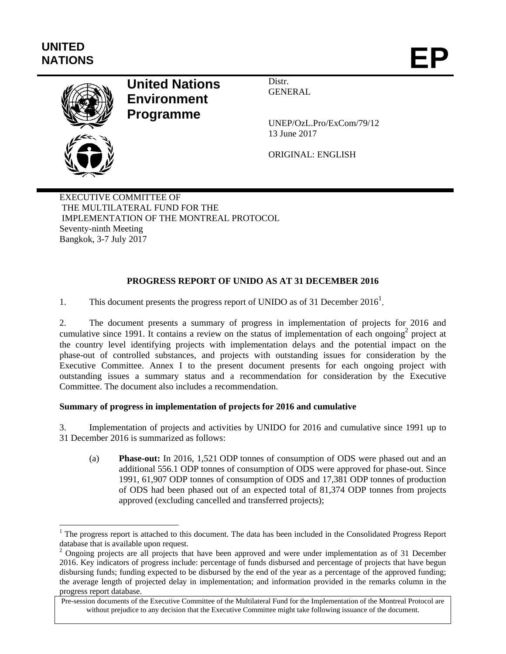# **UNITED**  UNITED<br>NATIONS **EP**

l



# **United Nations Environment Programme**

Distr. **GENERAL** 

UNEP/OzL.Pro/ExCom/79/12 13 June 2017

ORIGINAL: ENGLISH

EXECUTIVE COMMITTEE OF THE MULTILATERAL FUND FOR THE IMPLEMENTATION OF THE MONTREAL PROTOCOL Seventy-ninth Meeting Bangkok, 3-7 July 2017

# **PROGRESS REPORT OF UNIDO AS AT 31 DECEMBER 2016**

1. This document presents the progress report of UNIDO as of 31 December 2016<sup>1</sup>.

2. The document presents a summary of progress in implementation of projects for 2016 and cumulative since 1991. It contains a review on the status of implementation of each ongoing<sup>2</sup> project at the country level identifying projects with implementation delays and the potential impact on the phase-out of controlled substances, and projects with outstanding issues for consideration by the Executive Committee. Annex I to the present document presents for each ongoing project with outstanding issues a summary status and a recommendation for consideration by the Executive Committee. The document also includes a recommendation.

# **Summary of progress in implementation of projects for 2016 and cumulative**

3. Implementation of projects and activities by UNIDO for 2016 and cumulative since 1991 up to 31 December 2016 is summarized as follows:

(a) **Phase-out:** In 2016, 1,521 ODP tonnes of consumption of ODS were phased out and an additional 556.1 ODP tonnes of consumption of ODS were approved for phase-out. Since 1991, 61,907 ODP tonnes of consumption of ODS and 17,381 ODP tonnes of production of ODS had been phased out of an expected total of 81,374 ODP tonnes from projects approved (excluding cancelled and transferred projects);

<sup>&</sup>lt;sup>1</sup> The progress report is attached to this document. The data has been included in the Consolidated Progress Report database that is available upon request.

<sup>&</sup>lt;sup>2</sup> Ongoing projects are all projects that have been approved and were under implementation as of 31 December 2016. Key indicators of progress include: percentage of funds disbursed and percentage of projects that have begun disbursing funds; funding expected to be disbursed by the end of the year as a percentage of the approved funding; the average length of projected delay in implementation; and information provided in the remarks column in the progress report database.

Pre-session documents of the Executive Committee of the Multilateral Fund for the Implementation of the Montreal Protocol are without prejudice to any decision that the Executive Committee might take following issuance of the document.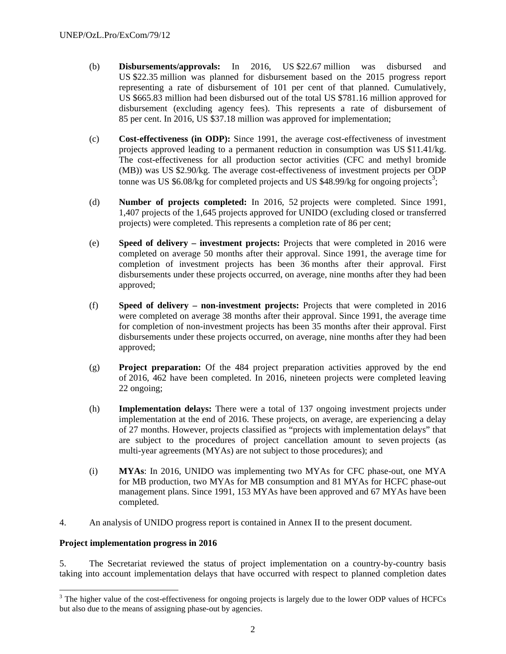- (b) **Disbursements/approvals:** In 2016, US \$22.67 million was disbursed and US \$22.35 million was planned for disbursement based on the 2015 progress report representing a rate of disbursement of 101 per cent of that planned. Cumulatively, US \$665.83 million had been disbursed out of the total US \$781.16 million approved for disbursement (excluding agency fees). This represents a rate of disbursement of 85 per cent. In 2016, US \$37.18 million was approved for implementation;
- (c) **Cost-effectiveness (in ODP):** Since 1991, the average cost-effectiveness of investment projects approved leading to a permanent reduction in consumption was US \$11.41/kg. The cost-effectiveness for all production sector activities (CFC and methyl bromide (MB)) was US \$2.90/kg. The average cost-effectiveness of investment projects per ODP tonne was US \$6.08/kg for completed projects and US \$48.99/kg for ongoing projects<sup>3</sup>;
- (d) **Number of projects completed:** In 2016, 52 projects were completed. Since 1991, 1,407 projects of the 1,645 projects approved for UNIDO (excluding closed or transferred projects) were completed. This represents a completion rate of 86 per cent;
- (e) **Speed of delivery investment projects:** Projects that were completed in 2016 were completed on average 50 months after their approval. Since 1991, the average time for completion of investment projects has been 36 months after their approval. First disbursements under these projects occurred, on average, nine months after they had been approved;
- (f) **Speed of delivery non-investment projects:** Projects that were completed in 2016 were completed on average 38 months after their approval. Since 1991, the average time for completion of non-investment projects has been 35 months after their approval. First disbursements under these projects occurred, on average, nine months after they had been approved;
- (g) **Project preparation:** Of the 484 project preparation activities approved by the end of 2016, 462 have been completed. In 2016, nineteen projects were completed leaving 22 ongoing;
- (h) **Implementation delays:** There were a total of 137 ongoing investment projects under implementation at the end of 2016. These projects, on average, are experiencing a delay of 27 months. However, projects classified as "projects with implementation delays" that are subject to the procedures of project cancellation amount to seven projects (as multi-year agreements (MYAs) are not subject to those procedures); and
- (i) **MYAs**: In 2016, UNIDO was implementing two MYAs for CFC phase-out, one MYA for MB production, two MYAs for MB consumption and 81 MYAs for HCFC phase-out management plans. Since 1991, 153 MYAs have been approved and 67 MYAs have been completed.
- 4. An analysis of UNIDO progress report is contained in Annex II to the present document.

#### **Project implementation progress in 2016**

1

5. The Secretariat reviewed the status of project implementation on a country-by-country basis taking into account implementation delays that have occurred with respect to planned completion dates

 $3$  The higher value of the cost-effectiveness for ongoing projects is largely due to the lower ODP values of HCFCs but also due to the means of assigning phase-out by agencies.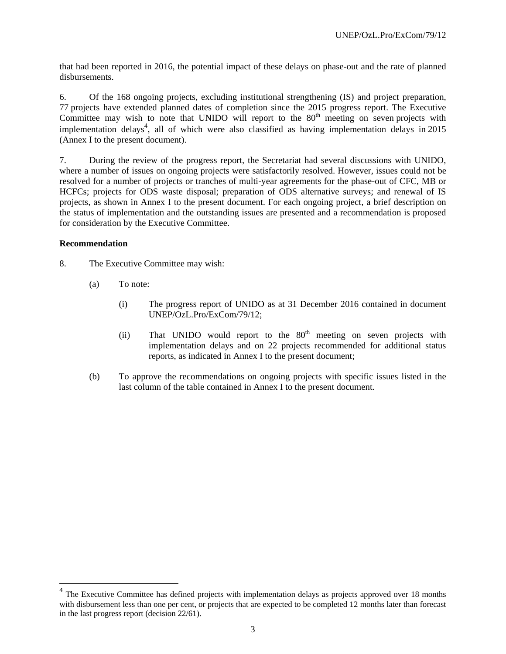that had been reported in 2016, the potential impact of these delays on phase-out and the rate of planned disbursements.

6. Of the 168 ongoing projects, excluding institutional strengthening (IS) and project preparation, 77 projects have extended planned dates of completion since the 2015 progress report. The Executive Committee may wish to note that UNIDO will report to the  $80<sup>th</sup>$  meeting on seven projects with implementation delays<sup>4</sup>, all of which were also classified as having implementation delays in 2015 (Annex I to the present document).

7. During the review of the progress report, the Secretariat had several discussions with UNIDO, where a number of issues on ongoing projects were satisfactorily resolved. However, issues could not be resolved for a number of projects or tranches of multi-year agreements for the phase-out of CFC, MB or HCFCs; projects for ODS waste disposal; preparation of ODS alternative surveys; and renewal of IS projects, as shown in Annex I to the present document. For each ongoing project, a brief description on the status of implementation and the outstanding issues are presented and a recommendation is proposed for consideration by the Executive Committee.

#### **Recommendation**

1

- 8. The Executive Committee may wish:
	- (a) To note:
		- (i) The progress report of UNIDO as at 31 December 2016 contained in document UNEP/OzL.Pro/ExCom/79/12;
		- (ii) That UNIDO would report to the  $80<sup>th</sup>$  meeting on seven projects with implementation delays and on 22 projects recommended for additional status reports, as indicated in Annex I to the present document;
	- (b) To approve the recommendations on ongoing projects with specific issues listed in the last column of the table contained in Annex I to the present document.

<sup>&</sup>lt;sup>4</sup> The Executive Committee has defined projects with implementation delays as projects approved over 18 months with disbursement less than one per cent, or projects that are expected to be completed 12 months later than forecast in the last progress report (decision 22/61).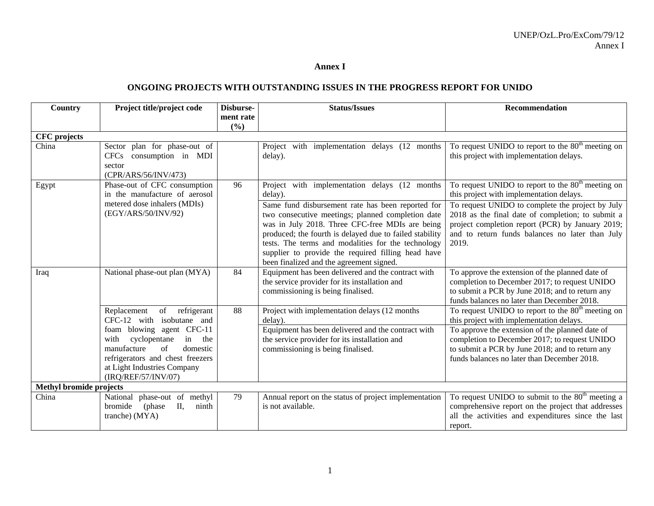#### **Annex I**

#### **ONGOING PROJECTS WITH OUTSTANDING ISSUES IN THE PROGRESS REPORT FOR UNIDO**

| Country                 | Project title/project code                                                                                                                                                                | Disburse-<br>ment rate | <b>Status/Issues</b>                                                                                                                                                                                                                                                                                                                                                         | <b>Recommendation</b>                                                                                                                                                                                                 |
|-------------------------|-------------------------------------------------------------------------------------------------------------------------------------------------------------------------------------------|------------------------|------------------------------------------------------------------------------------------------------------------------------------------------------------------------------------------------------------------------------------------------------------------------------------------------------------------------------------------------------------------------------|-----------------------------------------------------------------------------------------------------------------------------------------------------------------------------------------------------------------------|
|                         |                                                                                                                                                                                           | (9/0)                  |                                                                                                                                                                                                                                                                                                                                                                              |                                                                                                                                                                                                                       |
| <b>CFC</b> projects     |                                                                                                                                                                                           |                        |                                                                                                                                                                                                                                                                                                                                                                              |                                                                                                                                                                                                                       |
| China                   | Sector plan for phase-out of<br>CFCs consumption in MDI<br>sector<br>(CPR/ARS/56/INV/473)                                                                                                 |                        | Project with implementation delays (12 months)<br>delay).                                                                                                                                                                                                                                                                                                                    | To request UNIDO to report to the $80th$ meeting on<br>this project with implementation delays.                                                                                                                       |
| Egypt                   | Phase-out of CFC consumption<br>in the manufacture of aerosol                                                                                                                             | 96                     | Project with implementation delays (12 months<br>delay).                                                                                                                                                                                                                                                                                                                     | To request UNIDO to report to the $80th$ meeting on<br>this project with implementation delays.                                                                                                                       |
|                         | metered dose inhalers (MDIs)<br>(EGY/ARS/50/INV/92)                                                                                                                                       |                        | Same fund disbursement rate has been reported for<br>two consecutive meetings; planned completion date<br>was in July 2018. Three CFC-free MDIs are being<br>produced; the fourth is delayed due to failed stability<br>tests. The terms and modalities for the technology<br>supplier to provide the required filling head have<br>been finalized and the agreement signed. | To request UNIDO to complete the project by July<br>2018 as the final date of completion; to submit a<br>project completion report (PCR) by January 2019;<br>and to return funds balances no later than July<br>2019. |
| Iraq                    | National phase-out plan (MYA)                                                                                                                                                             | 84                     | Equipment has been delivered and the contract with<br>the service provider for its installation and<br>commissioning is being finalised.                                                                                                                                                                                                                                     | To approve the extension of the planned date of<br>completion to December 2017; to request UNIDO<br>to submit a PCR by June 2018; and to return any<br>funds balances no later than December 2018.                    |
|                         | of<br>refrigerant<br>Replacement<br>CFC-12 with isobutane and                                                                                                                             | 88                     | Project with implementation delays (12 months<br>delay).                                                                                                                                                                                                                                                                                                                     | To request UNIDO to report to the $80th$ meeting on<br>this project with implementation delays.                                                                                                                       |
|                         | foam blowing agent CFC-11<br>cyclopentane<br>in<br>with<br>the<br>manufacture<br>of<br>domestic<br>refrigerators and chest freezers<br>at Light Industries Company<br>(IRQ/REF/57/INV/07) |                        | Equipment has been delivered and the contract with<br>the service provider for its installation and<br>commissioning is being finalised.                                                                                                                                                                                                                                     | To approve the extension of the planned date of<br>completion to December 2017; to request UNIDO<br>to submit a PCR by June 2018; and to return any<br>funds balances no later than December 2018.                    |
| Methyl bromide projects |                                                                                                                                                                                           |                        |                                                                                                                                                                                                                                                                                                                                                                              |                                                                                                                                                                                                                       |
| China                   | National phase-out of methyl<br>II,<br>bromide<br>(phase)<br>ninth<br>tranche) (MYA)                                                                                                      | 79                     | Annual report on the status of project implementation<br>is not available.                                                                                                                                                                                                                                                                                                   | To request UNIDO to submit to the $80th$ meeting a<br>comprehensive report on the project that addresses<br>all the activities and expenditures since the last<br>report.                                             |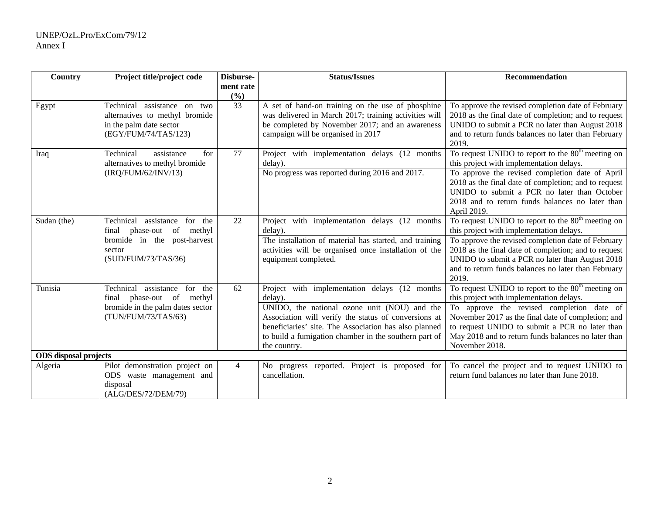| Country                                                                                    | Project title/project code                                                                                       | Disburse-        | <b>Status/Issues</b>                                                                                                                                                                                                                   | <b>Recommendation</b>                                                                                                                                                                                                         |
|--------------------------------------------------------------------------------------------|------------------------------------------------------------------------------------------------------------------|------------------|----------------------------------------------------------------------------------------------------------------------------------------------------------------------------------------------------------------------------------------|-------------------------------------------------------------------------------------------------------------------------------------------------------------------------------------------------------------------------------|
|                                                                                            |                                                                                                                  | ment rate<br>(%) |                                                                                                                                                                                                                                        |                                                                                                                                                                                                                               |
| Egypt                                                                                      | Technical assistance on two<br>alternatives to methyl bromide<br>in the palm date sector<br>(EGY/FUM/74/TAS/123) | $\overline{33}$  | A set of hand-on training on the use of phosphine<br>was delivered in March 2017; training activities will<br>be completed by November 2017; and an awareness<br>campaign will be organised in 2017                                    | To approve the revised completion date of February<br>2018 as the final date of completion; and to request<br>UNIDO to submit a PCR no later than August 2018<br>and to return funds balances no later than February<br>2019. |
| Iraq                                                                                       | Technical<br>assistance<br>for<br>alternatives to methyl bromide                                                 | 77               | Project with implementation delays (12 months)<br>delay).                                                                                                                                                                              | To request UNIDO to report to the 80 <sup>th</sup> meeting on<br>this project with implementation delays.                                                                                                                     |
|                                                                                            | (IRQ/FUM/62/INV/13)                                                                                              |                  | No progress was reported during 2016 and 2017.                                                                                                                                                                                         | To approve the revised completion date of April<br>2018 as the final date of completion; and to request<br>UNIDO to submit a PCR no later than October<br>2018 and to return funds balances no later than<br>April 2019.      |
| Sudan (the)<br>Technical<br>assistance<br>for<br>the<br>phase-out<br>of<br>methyl<br>final |                                                                                                                  | 22               | Project with implementation delays (12 months<br>delay).                                                                                                                                                                               | To request UNIDO to report to the $80th$ meeting on<br>this project with implementation delays.                                                                                                                               |
|                                                                                            | bromide in the post-harvest<br>sector<br>(SUD/FUM/73/TAS/36)                                                     |                  | The installation of material has started, and training<br>activities will be organised once installation of the<br>equipment completed.                                                                                                | To approve the revised completion date of February<br>2018 as the final date of completion; and to request<br>UNIDO to submit a PCR no later than August 2018<br>and to return funds balances no later than February<br>2019. |
| Tunisia                                                                                    | assistance for<br>Technical<br>the<br>final phase-out of methyl                                                  | 62               | Project with implementation delays (12 months<br>delay).                                                                                                                                                                               | To request UNIDO to report to the $80th$ meeting on<br>this project with implementation delays.                                                                                                                               |
|                                                                                            | bromide in the palm dates sector<br>(TUN/FUM/73/TAS/63)                                                          |                  | UNIDO, the national ozone unit (NOU) and the<br>Association will verify the status of conversions at<br>beneficiaries' site. The Association has also planned<br>to build a fumigation chamber in the southern part of<br>the country. | To approve the revised completion date of<br>November 2017 as the final date of completion; and<br>to request UNIDO to submit a PCR no later than<br>May 2018 and to return funds balances no later than<br>November 2018.    |
| <b>ODS</b> disposal projects                                                               |                                                                                                                  |                  |                                                                                                                                                                                                                                        |                                                                                                                                                                                                                               |
| Algeria                                                                                    | Pilot demonstration project on<br>ODS waste management and<br>disposal<br>(ALG/DES/72/DEM/79)                    | $\overline{4}$   | No progress reported. Project is proposed for<br>cancellation.                                                                                                                                                                         | To cancel the project and to request UNIDO to<br>return fund balances no later than June 2018.                                                                                                                                |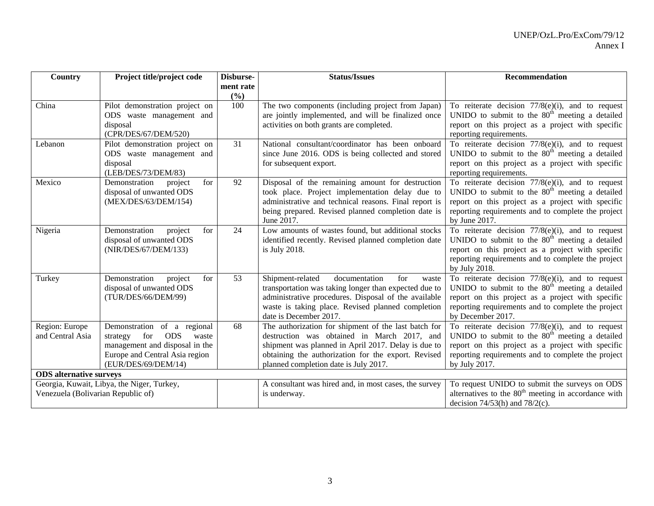| Country                            | Project title/project code                                 | Disburse- | <b>Status/Issues</b>                                  | Recommendation                                                                                                   |
|------------------------------------|------------------------------------------------------------|-----------|-------------------------------------------------------|------------------------------------------------------------------------------------------------------------------|
|                                    |                                                            | ment rate |                                                       |                                                                                                                  |
|                                    |                                                            | (%)       |                                                       |                                                                                                                  |
| China                              | Pilot demonstration project on                             | 100       | The two components (including project from Japan)     | To reiterate decision $77/8(e)(i)$ , and to request                                                              |
|                                    | ODS waste management and                                   |           | are jointly implemented, and will be finalized once   | UNIDO to submit to the $80th$ meeting a detailed                                                                 |
|                                    | disposal<br>(CPR/DES/67/DEM/520)                           |           | activities on both grants are completed.              | report on this project as a project with specific                                                                |
| Lebanon                            |                                                            | 31        | National consultant/coordinator has been onboard      | reporting requirements.<br>To reiterate decision $77/8(e)(i)$ , and to request                                   |
|                                    | Pilot demonstration project on<br>ODS waste management and |           | since June 2016. ODS is being collected and stored    | UNIDO to submit to the $80th$ meeting a detailed                                                                 |
|                                    | disposal                                                   |           | for subsequent export.                                | report on this project as a project with specific                                                                |
|                                    | (LEB/DES/73/DEM/83)                                        |           |                                                       | reporting requirements.                                                                                          |
| Mexico                             | Demonstration<br>project<br>for                            | 92        | Disposal of the remaining amount for destruction      | To reiterate decision 77/8(e)(i), and to request                                                                 |
|                                    | disposal of unwanted ODS                                   |           | took place. Project implementation delay due to       | UNIDO to submit to the $80th$ meeting a detailed                                                                 |
|                                    | (MEX/DES/63/DEM/154)                                       |           | administrative and technical reasons. Final report is | report on this project as a project with specific                                                                |
|                                    |                                                            |           | being prepared. Revised planned completion date is    | reporting requirements and to complete the project                                                               |
|                                    |                                                            |           | June 2017.                                            | by June 2017.                                                                                                    |
| Nigeria                            | Demonstration<br>project<br>for                            | 24        | Low amounts of wastes found, but additional stocks    | To reiterate decision $77/8(e)(i)$ , and to request                                                              |
|                                    | disposal of unwanted ODS                                   |           | identified recently. Revised planned completion date  | UNIDO to submit to the $80th$ meeting a detailed                                                                 |
|                                    | (NIR/DES/67/DEM/133)                                       |           | is July 2018.                                         | report on this project as a project with specific                                                                |
|                                    |                                                            |           |                                                       | reporting requirements and to complete the project                                                               |
|                                    |                                                            |           |                                                       | by July 2018.                                                                                                    |
| Turkey                             | Demonstration<br>project<br>for                            | 53        | Shipment-related<br>documentation<br>for<br>waste     | To reiterate decision $77/8(e)(i)$ , and to request                                                              |
|                                    | disposal of unwanted ODS                                   |           | transportation was taking longer than expected due to | UNIDO to submit to the $80th$ meeting a detailed                                                                 |
|                                    | (TUR/DES/66/DEM/99)                                        |           | administrative procedures. Disposal of the available  | report on this project as a project with specific                                                                |
|                                    |                                                            |           | waste is taking place. Revised planned completion     | reporting requirements and to complete the project                                                               |
|                                    |                                                            |           | date is December 2017.                                | by December 2017.                                                                                                |
| Region: Europe                     | Demonstration of a regional                                | 68        | The authorization for shipment of the last batch for  | To reiterate decision $77/8(e)(i)$ , and to request                                                              |
| and Central Asia                   | <b>ODS</b><br>for<br>strategy<br>waste                     |           | destruction was obtained in March 2017, and           | UNIDO to submit to the $80th$ meeting a detailed                                                                 |
|                                    | management and disposal in the                             |           | shipment was planned in April 2017. Delay is due to   | report on this project as a project with specific                                                                |
|                                    | Europe and Central Asia region                             |           | obtaining the authorization for the export. Revised   | reporting requirements and to complete the project                                                               |
| (EUR/DES/69/DEM/14)                |                                                            |           | planned completion date is July 2017.                 | by July 2017.                                                                                                    |
| <b>ODS</b> alternative surveys     |                                                            |           |                                                       |                                                                                                                  |
|                                    | Georgia, Kuwait, Libya, the Niger, Turkey,                 |           | A consultant was hired and, in most cases, the survey | To request UNIDO to submit the surveys on ODS<br>alternatives to the 80 <sup>th</sup> meeting in accordance with |
| Venezuela (Bolivarian Republic of) |                                                            |           | is underway.                                          |                                                                                                                  |
|                                    |                                                            |           |                                                       | decision $74/53(h)$ and $78/2(c)$ .                                                                              |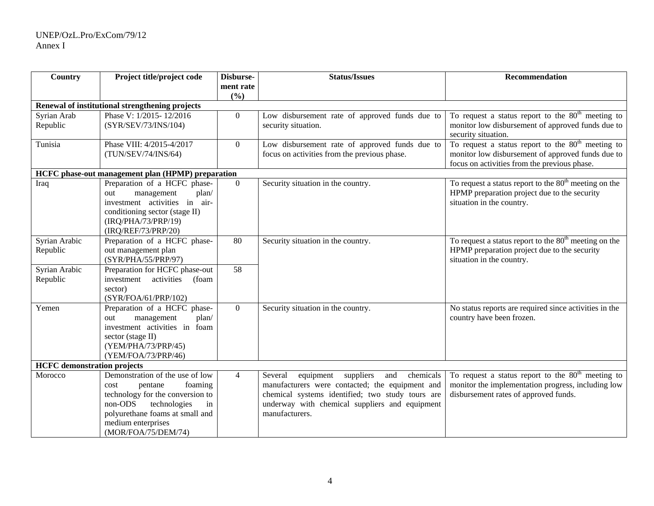#### UNEP/OzL.Pro/ExCom/79/12 Annex I

| Country                            | Project title/project code                        | Disburse-      | <b>Status/Issues</b>                                  | <b>Recommendation</b>                                                     |  |  |
|------------------------------------|---------------------------------------------------|----------------|-------------------------------------------------------|---------------------------------------------------------------------------|--|--|
|                                    |                                                   | ment rate      |                                                       |                                                                           |  |  |
|                                    |                                                   | (%)            |                                                       |                                                                           |  |  |
|                                    | Renewal of institutional strengthening projects   |                |                                                       |                                                                           |  |  |
| Syrian Arab                        | Phase V: 1/2015-12/2016                           | $\Omega$       | Low disbursement rate of approved funds due to        | To request a status report to the $80th$ meeting to                       |  |  |
| Republic                           | (SYR/SEV/73/INS/104)                              |                | security situation.                                   | monitor low disbursement of approved funds due to<br>security situation.  |  |  |
| Tunisia                            | Phase VIII: 4/2015-4/2017                         | $\overline{0}$ | Low disbursement rate of approved funds due to        | To request a status report to the 80 <sup>th</sup> meeting to             |  |  |
|                                    | (TUN/SEV/74/INS/64)                               |                | focus on activities from the previous phase.          | monitor low disbursement of approved funds due to                         |  |  |
|                                    |                                                   |                |                                                       | focus on activities from the previous phase.                              |  |  |
|                                    | HCFC phase-out management plan (HPMP) preparation |                |                                                       |                                                                           |  |  |
| Iraq                               | Preparation of a HCFC phase-                      | $\Omega$       | Security situation in the country.                    | To request a status report to the $80th$ meeting on the                   |  |  |
|                                    | plan/<br>management<br>out                        |                |                                                       | HPMP preparation project due to the security                              |  |  |
|                                    | investment activities in<br>air-                  |                |                                                       | situation in the country.                                                 |  |  |
|                                    | conditioning sector (stage II)                    |                |                                                       |                                                                           |  |  |
|                                    | (IRQ/PHA/73/PRP/19)                               |                |                                                       |                                                                           |  |  |
|                                    | (IRQ/REF/73/PRP/20)                               | 80             |                                                       |                                                                           |  |  |
| Syrian Arabic                      | Preparation of a HCFC phase-                      |                | Security situation in the country.                    | To request a status report to the $80th$ meeting on the                   |  |  |
| Republic                           | out management plan<br>(SYR/PHA/55/PRP/97)        |                |                                                       | HPMP preparation project due to the security<br>situation in the country. |  |  |
| Syrian Arabic                      | Preparation for HCFC phase-out                    | 58             |                                                       |                                                                           |  |  |
| Republic                           | investment activities<br>(foam                    |                |                                                       |                                                                           |  |  |
|                                    | sector)                                           |                |                                                       |                                                                           |  |  |
|                                    | (SYR/FOA/61/PRP/102)                              |                |                                                       |                                                                           |  |  |
| Yemen                              | Preparation of a HCFC phase-                      | $\overline{0}$ | Security situation in the country.                    | No status reports are required since activities in the                    |  |  |
|                                    | plan/<br>management<br>out                        |                |                                                       | country have been frozen.                                                 |  |  |
|                                    | investment activities in foam                     |                |                                                       |                                                                           |  |  |
|                                    | sector (stage II)                                 |                |                                                       |                                                                           |  |  |
|                                    | (YEM/PHA/73/PRP/45)                               |                |                                                       |                                                                           |  |  |
|                                    | (YEM/FOA/73/PRP/46)                               |                |                                                       |                                                                           |  |  |
| <b>HCFC</b> demonstration projects |                                                   |                |                                                       |                                                                           |  |  |
| Morocco                            | Demonstration of the use of low                   | $\overline{4}$ | chemicals<br>Several<br>suppliers<br>and<br>equipment | To request a status report to the $80th$ meeting to                       |  |  |
|                                    | foaming<br>pentane<br>cost                        |                | manufacturers were contacted; the equipment and       | monitor the implementation progress, including low                        |  |  |
|                                    | technology for the conversion to                  |                | chemical systems identified; two study tours are      | disbursement rates of approved funds.                                     |  |  |
|                                    | technologies<br>non-ODS<br>in                     |                | underway with chemical suppliers and equipment        |                                                                           |  |  |
|                                    | polyurethane foams at small and                   |                | manufacturers.                                        |                                                                           |  |  |
|                                    | medium enterprises                                |                |                                                       |                                                                           |  |  |
|                                    | (MOR/FOA/75/DEM/74)                               |                |                                                       |                                                                           |  |  |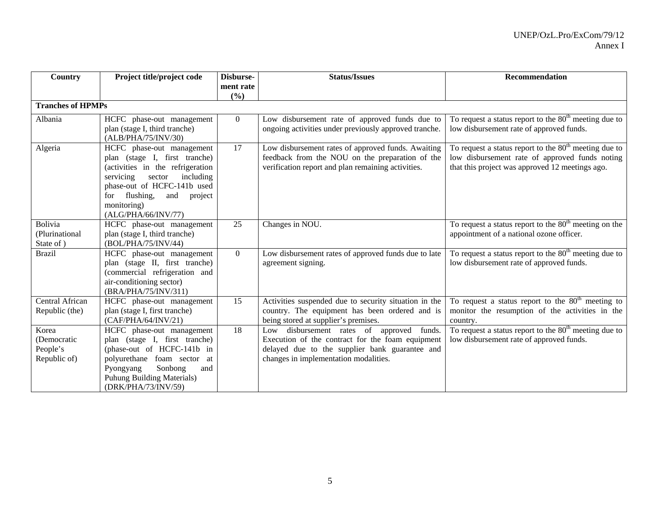| Country                                          | Project title/project code                                                                                                                                                                                                              | Disburse-<br>ment rate | <b>Status/Issues</b>                                                                                                                                                                     | <b>Recommendation</b>                                                                                                                                        |
|--------------------------------------------------|-----------------------------------------------------------------------------------------------------------------------------------------------------------------------------------------------------------------------------------------|------------------------|------------------------------------------------------------------------------------------------------------------------------------------------------------------------------------------|--------------------------------------------------------------------------------------------------------------------------------------------------------------|
| <b>Tranches of HPMPs</b>                         |                                                                                                                                                                                                                                         | (%)                    |                                                                                                                                                                                          |                                                                                                                                                              |
|                                                  |                                                                                                                                                                                                                                         |                        |                                                                                                                                                                                          |                                                                                                                                                              |
| Albania                                          | HCFC phase-out management<br>plan (stage I, third tranche)<br>(ALB/PHA/75/INV/30)                                                                                                                                                       | $\Omega$               | Low disbursement rate of approved funds due to<br>ongoing activities under previously approved tranche.                                                                                  | To request a status report to the $80th$ meeting due to<br>low disbursement rate of approved funds.                                                          |
| Algeria                                          | HCFC phase-out management<br>plan (stage I, first tranche)<br>(activities in the refrigeration<br>servicing<br>including<br>sector<br>phase-out of HCFC-141b used<br>for flushing,<br>and project<br>monitoring)<br>(ALG/PHA/66/INV/77) | 17                     | Low disbursement rates of approved funds. Awaiting<br>feedback from the NOU on the preparation of the<br>verification report and plan remaining activities.                              | To request a status report to the $80th$ meeting due to<br>low disbursement rate of approved funds noting<br>that this project was approved 12 meetings ago. |
| <b>Bolivia</b><br>(Plurinational<br>State of )   | HCFC phase-out management<br>plan (stage I, third tranche)<br>(BOL/PHA/75/INV/44)                                                                                                                                                       | 25                     | Changes in NOU.                                                                                                                                                                          | To request a status report to the $80th$ meeting on the<br>appointment of a national ozone officer.                                                          |
| <b>Brazil</b>                                    | HCFC phase-out management<br>plan (stage II, first tranche)<br>(commercial refrigeration and<br>air-conditioning sector)<br>(BRA/PHA/75/INV/311)                                                                                        | $\overline{0}$         | Low disbursement rates of approved funds due to late<br>agreement signing.                                                                                                               | To request a status report to the $80th$ meeting due to<br>low disbursement rate of approved funds.                                                          |
| Central African<br>Republic (the)                | HCFC phase-out management<br>plan (stage I, first tranche)<br>(CAF/PHA/64/INV/21)                                                                                                                                                       | 15                     | Activities suspended due to security situation in the<br>country. The equipment has been ordered and is<br>being stored at supplier's premises.                                          | To request a status report to the $80th$ meeting to<br>monitor the resumption of the activities in the<br>country.                                           |
| Korea<br>(Democratic<br>People's<br>Republic of) | HCFC phase-out management<br>plan (stage I, first tranche)<br>(phase-out of HCFC-141b in<br>polyurethane foam sector at<br>Sonbong<br>Pyongyang<br>and<br>Puhung Building Materials)<br>(DRK/PHA/73/INV/59)                             | 18                     | Low disbursement rates of approved funds.<br>Execution of the contract for the foam equipment<br>delayed due to the supplier bank guarantee and<br>changes in implementation modalities. | To request a status report to the $80th$ meeting due to<br>low disbursement rate of approved funds.                                                          |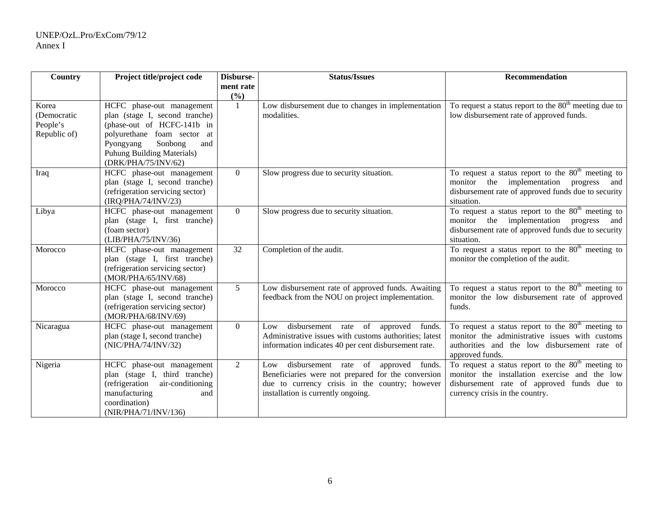| Country                          | Project title/project code                                                                                                                                        | Disburse-      | <b>Status/Issues</b>                                                                                                                                                                         | <b>Recommendation</b>                                                                                                                                                                  |  |
|----------------------------------|-------------------------------------------------------------------------------------------------------------------------------------------------------------------|----------------|----------------------------------------------------------------------------------------------------------------------------------------------------------------------------------------------|----------------------------------------------------------------------------------------------------------------------------------------------------------------------------------------|--|
|                                  |                                                                                                                                                                   | ment rate      |                                                                                                                                                                                              |                                                                                                                                                                                        |  |
| Korea<br>(Democratic<br>People's | HCFC phase-out management<br>plan (stage I, second tranche)<br>(phase-out of HCFC-141b in                                                                         | (%)<br>-1      | Low disbursement due to changes in implementation<br>modalities.                                                                                                                             | To request a status report to the $80th$ meeting due to<br>low disbursement rate of approved funds.                                                                                    |  |
| Republic of)                     | polyurethane foam sector at<br>Pyongyang<br>Sonbong<br>and<br>Puhung Building Materials)<br>(DRK/PHA/75/INV/62)                                                   |                |                                                                                                                                                                                              |                                                                                                                                                                                        |  |
| Iraq                             | HCFC phase-out management<br>plan (stage I, second tranche)<br>(refrigeration servicing sector)<br>(IRQ/PHA/74/INV/23)                                            | $\overline{0}$ | Slow progress due to security situation.                                                                                                                                                     | To request a status report to the 80 <sup>th</sup> meeting to<br>implementation progress<br>monitor<br>the<br>and<br>disbursement rate of approved funds due to security<br>situation. |  |
| Libya                            | HCFC phase-out management<br>plan (stage I, first tranche)<br>(foam sector)<br>(LIB/PHA/75/INV/36)                                                                | $\overline{0}$ | Slow progress due to security situation.                                                                                                                                                     | To request a status report to the $80th$ meeting to<br>monitor the implementation progress<br>and<br>disbursement rate of approved funds due to security<br>situation.                 |  |
| Morocco                          | HCFC phase-out management<br>plan (stage I, first tranche)<br>(refrigeration servicing sector)<br>(MOR/PHA/65/INV/68)                                             | 32             | Completion of the audit.                                                                                                                                                                     | To request a status report to the $80th$ meeting to<br>monitor the completion of the audit.                                                                                            |  |
| Morocco                          | HCFC phase-out management<br>plan (stage I, second tranche)<br>(refrigeration servicing sector)<br>(MOR/PHA/68/INV/69)                                            | 5 <sup>5</sup> | Low disbursement rate of approved funds. Awaiting<br>feedback from the NOU on project implementation.                                                                                        | To request a status report to the $80th$ meeting to<br>monitor the low disbursement rate of approved<br>funds.                                                                         |  |
| Nicaragua                        | HCFC phase-out management<br>plan (stage I, second tranche)<br>(NIC/PHA/74/INV/32)                                                                                | $\overline{0}$ | disbursement rate of<br>approved<br>funds.<br>Low<br>Administrative issues with customs authorities; latest<br>information indicates 40 per cent disbursement rate.                          | To request a status report to the $80th$ meeting to<br>monitor the administrative issues with customs<br>authorities and the low disbursement rate of<br>approved funds.               |  |
| Nigeria                          | HCFC phase-out management<br>plan (stage I, third tranche)<br>(refrigeration<br>air-conditioning<br>manufacturing<br>and<br>coordination)<br>(NIR/PHA/71/INV/136) | $\overline{2}$ | Low disbursement rate of<br>approved<br>funds.<br>Beneficiaries were not prepared for the conversion<br>due to currency crisis in the country; however<br>installation is currently ongoing. | To request a status report to the $80th$ meeting to<br>monitor the installation exercise and the low<br>disbursement rate of approved funds due to<br>currency crisis in the country.  |  |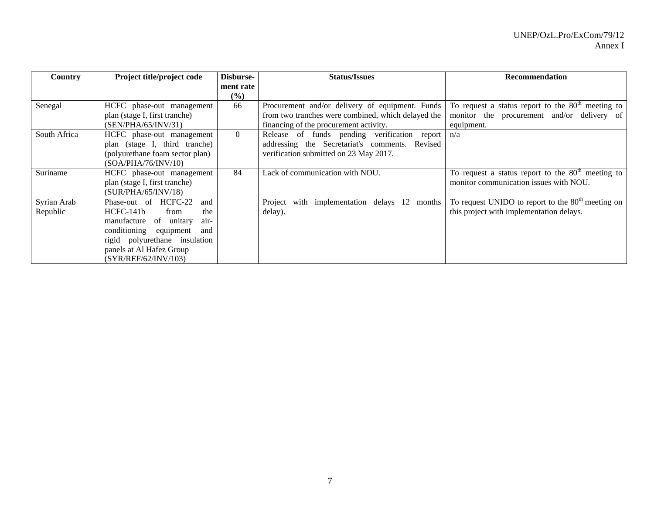| <b>Country</b> | Project title/project code       | Disburse- | <b>Status/Issues</b>                               | Recommendation                                      |
|----------------|----------------------------------|-----------|----------------------------------------------------|-----------------------------------------------------|
|                |                                  | ment rate |                                                    |                                                     |
|                |                                  | (%)       |                                                    |                                                     |
| Senegal        | HCFC phase-out management        | 66        | Procurement and/or delivery of equipment. Funds    | To request a status report to the $80th$ meeting to |
|                | plan (stage I, first tranche)    |           | from two tranches were combined, which delayed the | monitor the procurement and/or delivery of          |
|                | (SEN/PHA/65/INV/31)              |           | financing of the procurement activity.             | equipment.                                          |
| South Africa   | HCFC phase-out management        | $\Omega$  | Release of funds pending verification report       | n/a                                                 |
|                | plan (stage I, third tranche)    |           | addressing the Secretariat's comments. Revised     |                                                     |
|                | (polyurethane foam sector plan)  |           | verification submitted on 23 May 2017.             |                                                     |
|                | (SOA/PHA/76/INV/10)              |           |                                                    |                                                     |
| Suriname       | HCFC phase-out management        | 84        | Lack of communication with NOU.                    | To request a status report to the $80th$ meeting to |
|                | plan (stage I, first tranche)    |           |                                                    | monitor communication issues with NOU.              |
|                | (SUR/PHA/65/INV/18)              |           |                                                    |                                                     |
| Syrian Arab    | Phase-out of HCFC-22<br>and      |           | with implementation delays 12 months<br>Project    | To request UNIDO to report to the $80th$ meeting on |
| Republic       | $HCFC-141b$<br>from<br>the       |           | delay).                                            | this project with implementation delays.            |
|                | manufacture of unitary<br>air-   |           |                                                    |                                                     |
|                | conditioning<br>equipment<br>and |           |                                                    |                                                     |
|                | rigid polyurethane insulation    |           |                                                    |                                                     |
|                | panels at Al Hafez Group         |           |                                                    |                                                     |
|                | (SYR/REF/62/INV/103)             |           |                                                    |                                                     |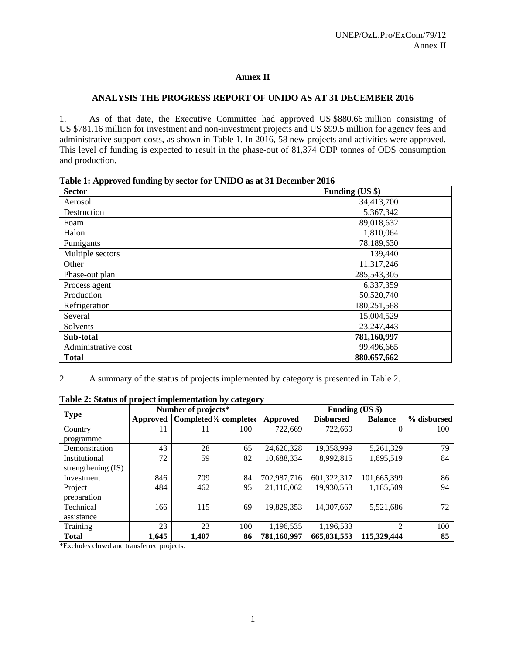# **Annex II**

# **ANALYSIS THE PROGRESS REPORT OF UNIDO AS AT 31 DECEMBER 2016**

1. As of that date, the Executive Committee had approved US \$880.66 million consisting of US \$781.16 million for investment and non-investment projects and US \$99.5 million for agency fees and administrative support costs, as shown in Table 1. In 2016, 58 new projects and activities were approved. This level of funding is expected to result in the phase-out of 81,374 ODP tonnes of ODS consumption and production.

| as a replacement of $\mathbf{v}_j$ seems for $\mathbf{v}_i$ as a $\mathbf{v}_i$ becomen<br><b>Sector</b> | Funding (US \$) |
|----------------------------------------------------------------------------------------------------------|-----------------|
| Aerosol                                                                                                  | 34,413,700      |
| Destruction                                                                                              | 5,367,342       |
| Foam                                                                                                     | 89,018,632      |
| Halon                                                                                                    | 1,810,064       |
| Fumigants                                                                                                | 78,189,630      |
| Multiple sectors                                                                                         | 139,440         |
| Other                                                                                                    | 11,317,246      |
| Phase-out plan                                                                                           | 285,543,305     |
| Process agent                                                                                            | 6,337,359       |
| Production                                                                                               | 50,520,740      |
| Refrigeration                                                                                            | 180,251,568     |
| Several                                                                                                  | 15,004,529      |
| Solvents                                                                                                 | 23, 247, 443    |
| Sub-total                                                                                                | 781,160,997     |
| Administrative cost                                                                                      | 99,496,665      |
| <b>Total</b>                                                                                             | 880,657,662     |

**Table 1: Approved funding by sector for UNIDO as at 31 December 2016** 

2. A summary of the status of projects implemented by category is presented in Table 2.

|                    |          | Number of projects* |                       | Funding (US \$) |                  |                |             |
|--------------------|----------|---------------------|-----------------------|-----------------|------------------|----------------|-------------|
| <b>Type</b>        | Approved |                     | Completed % completed | <b>Approved</b> | <b>Disbursed</b> | <b>Balance</b> | % disbursed |
| Country            | 11       | 11                  | 100                   | 722,669         | 722,669          | $\theta$       | 100         |
| programme          |          |                     |                       |                 |                  |                |             |
| Demonstration      | 43       | 28                  | 65                    | 24,620,328      | 19,358,999       | 5,261,329      | 79          |
| Institutional      | 72       | 59                  | 82                    | 10,688,334      | 8,992,815        | 1,695,519      | 84          |
| strengthening (IS) |          |                     |                       |                 |                  |                |             |
| Investment         | 846      | 709                 | 84                    | 702,987,716     | 601,322,317      | 101,665,399    | 86          |
| Project            | 484      | 462                 | 95                    | 21,116,062      | 19,930,553       | 1,185,509      | 94          |
| preparation        |          |                     |                       |                 |                  |                |             |
| Technical          | 166      | 115                 | 69                    | 19,829,353      | 14,307,667       | 5,521,686      | 72          |
| assistance         |          |                     |                       |                 |                  |                |             |
| Training           | 23       | 23                  | 100                   | 1,196,535       | 1,196,533        | $\overline{2}$ | 100         |
| <b>Total</b>       | 1,645    | 1,407               | 86                    | 781,160,997     | 665,831,553      | 115,329,444    | 85          |

**Table 2: Status of project implementation by category** 

\*Excludes closed and transferred projects.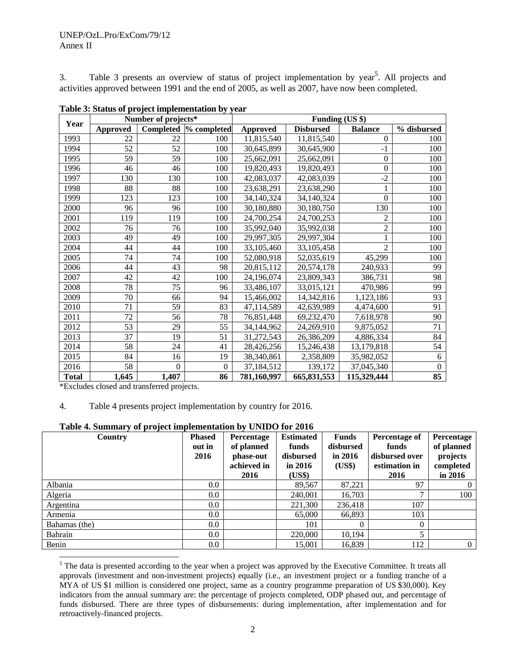#### UNEP/OzL.Pro/ExCom/79/12 Annex II

3. Table 3 presents an overview of status of project implementation by year<sup>5</sup>. All projects and activities approved between 1991 and the end of 2005, as well as 2007, have now been completed.

|              |                 | Number of projects* |                | Funding (US \$) |                  |                |             |  |  |
|--------------|-----------------|---------------------|----------------|-----------------|------------------|----------------|-------------|--|--|
| Year         | <b>Approved</b> | Completed           | % completed    | <b>Approved</b> | <b>Disbursed</b> | <b>Balance</b> | % disbursed |  |  |
| 1993         | 22              | 22                  | 100            | 11,815,540      | 11,815,540       | $\Omega$       | 100         |  |  |
| 1994         | 52              | 52                  | 100            | 30,645,899      | 30,645,900       | $-1$           | 100         |  |  |
| 1995         | 59              | 59                  | 100            | 25,662,091      | 25,662,091       | $\Omega$       | 100         |  |  |
| 1996         | 46              | 46                  | 100            | 19,820,493      | 19,820,493       | $\Omega$       | 100         |  |  |
| 1997         | 130             | 130                 | 100            | 42,083,037      | 42,083,039       | $-2$           | 100         |  |  |
| 1998         | 88              | 88                  | 100            | 23,638,291      | 23,638,290       |                | 100         |  |  |
| 1999         | 123             | 123                 | 100            | 34,140,324      | 34,140,324       | $\Omega$       | 100         |  |  |
| 2000         | 96              | 96                  | 100            | 30,180,880      | 30,180,750       | 130            | 100         |  |  |
| 2001         | 119             | 119                 | 100            | 24,700,254      | 24,700,253       | 2              | 100         |  |  |
| 2002         | 76              | 76                  | 100            | 35,992,040      | 35,992,038       | $\overline{2}$ | 100         |  |  |
| 2003         | 49              | 49                  | 100            | 29,997,305      | 29,997,304       |                | 100         |  |  |
| 2004         | 44              | 44                  | 100            | 33,105,460      | 33,105,458       | $\overline{2}$ | 100         |  |  |
| 2005         | 74              | 74                  | 100            | 52,080,918      | 52,035,619       | 45,299         | 100         |  |  |
| 2006         | 44              | 43                  | 98             | 20,815,112      | 20,574,178       | 240,933        | 99          |  |  |
| 2007         | 42              | 42                  | 100            | 24,196,074      | 23,809,343       | 386,731        | 98          |  |  |
| 2008         | 78              | 75                  | 96             | 33,486,107      | 33,015,121       | 470,986        | 99          |  |  |
| 2009         | 70              | 66                  | 94             | 15,466,002      | 14,342,816       | 1,123,186      | 93          |  |  |
| 2010         | 71              | 59                  | 83             | 47,114,589      | 42,639,989       | 4,474,600      | 91          |  |  |
| 2011         | 72              | 56                  | 78             | 76,851,448      | 69,232,470       | 7,618,978      | 90          |  |  |
| 2012         | 53              | 29                  | 55             | 34,144,962      | 24,269,910       | 9,875,052      | 71          |  |  |
| 2013         | 37              | 19                  | 51             | 31,272,543      | 26,386,209       | 4,886,334      | 84          |  |  |
| 2014         | 58              | 24                  | 41             | 28,426,256      | 15,246,438       | 13,179,818     | 54          |  |  |
| 2015         | 84              | 16                  | 19             | 38,340,861      | 2,358,809        | 35,982,052     | 6           |  |  |
| 2016         | 58              | $\theta$            | $\overline{0}$ | 37,184,512      | 139.172          | 37,045,340     | $\Omega$    |  |  |
| <b>Total</b> | 1,645           | 1,407               | 86             | 781,160,997     | 665,831,553      | 115,329,444    | 85          |  |  |

**Table 3: Status of project implementation by year** 

\*Excludes closed and transferred projects.

l

#### 4. Table 4 presents project implementation by country for 2016.

#### **Table 4. Summary of project implementation by UNIDO for 2016**

| Country       | <b>Phased</b><br>out in<br>2016 | <b>Percentage</b><br>of planned<br>phase-out<br>achieved in<br>2016 | <b>Estimated</b><br>funds<br>disbursed<br>in $2016$<br>(US\$) | <b>Funds</b><br>disbursed<br>in $2016$<br>(US\$) | Percentage of<br>funds<br>disbursed over<br>estimation in<br>2016 | Percentage<br>of planned<br>projects<br>completed<br>in 2016 |
|---------------|---------------------------------|---------------------------------------------------------------------|---------------------------------------------------------------|--------------------------------------------------|-------------------------------------------------------------------|--------------------------------------------------------------|
| Albania       | $0.0\,$                         |                                                                     | 89,567                                                        | 87,221                                           | 97                                                                | $\Omega$                                                     |
| Algeria       | $0.0\,$                         |                                                                     | 240,001                                                       | 16.703                                           | $\mathbf{r}$                                                      | 100                                                          |
| Argentina     | $0.0\,$                         |                                                                     | 221,300                                                       | 236,418                                          | 107                                                               |                                                              |
| Armenia       | $0.0\,$                         |                                                                     | 65,000                                                        | 66,893                                           | 103                                                               |                                                              |
| Bahamas (the) | 0.0 <sub>1</sub>                |                                                                     | 101                                                           |                                                  | $\Omega$                                                          |                                                              |
| Bahrain       | $0.0\,$                         |                                                                     | 220,000                                                       | 10,194                                           | 5.                                                                |                                                              |
| Benin         | $0.0\,$                         |                                                                     | 15,001                                                        | 16,839                                           | 112                                                               | $\overline{0}$                                               |

<sup>&</sup>lt;sup>5</sup> The data is presented according to the year when a project was approved by the Executive Committee. It treats all approvals (investment and non-investment projects) equally (i.e., an investment project or a funding tranche of a MYA of US \$1 million is considered one project, same as a country programme preparation of US \$30,000). Key indicators from the annual summary are: the percentage of projects completed, ODP phased out, and percentage of funds disbursed. There are three types of disbursements: during implementation, after implementation and for retroactively-financed projects.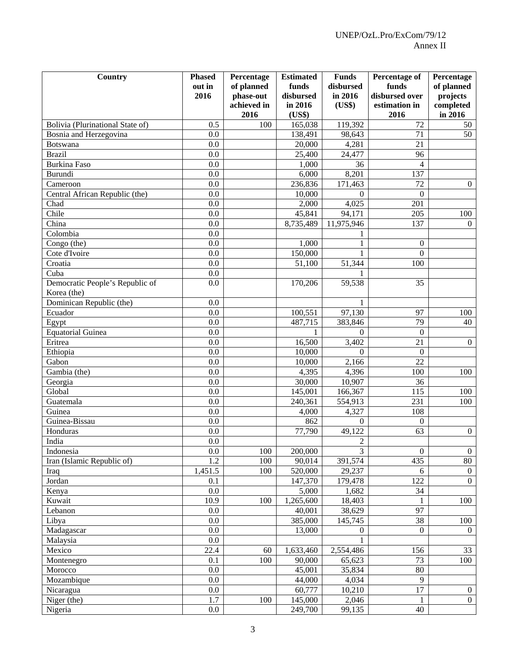| Country                          | <b>Phased</b> | Percentage  | <b>Estimated</b> | <b>Funds</b>     | Percentage of    | Percentage     |
|----------------------------------|---------------|-------------|------------------|------------------|------------------|----------------|
|                                  | out in        | of planned  | funds            | disbursed        | funds            | of planned     |
|                                  | 2016          | phase-out   | disbursed        | in 2016          | disbursed over   | projects       |
|                                  |               | achieved in | in 2016          | (US\$)           | estimation in    | completed      |
|                                  |               | 2016        | (US\$)           |                  | 2016             | in 2016        |
| Bolivia (Plurinational State of) | 0.5           | 100         | 165,038          | 119,392          | 72               | 50             |
| Bosnia and Herzegovina           | 0.0           |             | 138,491          | 98,643           | 71               | 50             |
| Botswana                         | 0.0           |             | 20,000           | 4,281            | 21               |                |
| <b>Brazil</b>                    | 0.0           |             | 25,400           | 24,477           | 96               |                |
| <b>Burkina Faso</b>              | 0.0           |             | 1,000            | 36               | 4                |                |
| Burundi                          | 0.0           |             | 6,000            | 8,201            | 137              |                |
| Cameroon                         | 0.0           |             | 236,836          | 171,463          | 72               | $\overline{0}$ |
| Central African Republic (the)   | 0.0           |             | 10,000           | $\Omega$         | $\boldsymbol{0}$ |                |
| Chad                             | 0.0           |             | 2,000            | 4,025            | 201              |                |
| Chile                            | 0.0           |             | 45,841           | 94,171           | 205              | 100            |
| China                            | 0.0           |             | 8,735,489        | 11,975,946       | 137              | $\Omega$       |
| Colombia                         | 0.0           |             |                  |                  |                  |                |
| Congo (the)                      | 0.0           |             | 1,000            |                  | $\overline{0}$   |                |
| Cote d'Ivoire                    | 0.0           |             | 150,000          |                  | $\boldsymbol{0}$ |                |
| Croatia                          | 0.0           |             | 51,100           | 51,344           | 100              |                |
| Cuba                             | 0.0           |             |                  |                  |                  |                |
| Democratic People's Republic of  | 0.0           |             | 170,206          | 59,538           | 35               |                |
| Korea (the)                      |               |             |                  |                  |                  |                |
| Dominican Republic (the)         | 0.0           |             |                  | 1                |                  |                |
| Ecuador                          | 0.0           |             | 100,551          | 97,130           | 97               | 100            |
| Egypt                            | 0.0           |             | 487,715          | 383,846          | 79               | 40             |
| <b>Equatorial Guinea</b>         | 0.0           |             | 1                | $\Omega$         | $\boldsymbol{0}$ |                |
| Eritrea                          | 0.0           |             | 16,500           | 3,402            | 21               | $\overline{0}$ |
| Ethiopia                         | 0.0           |             | 10,000           | $\Omega$         | $\boldsymbol{0}$ |                |
| Gabon                            | 0.0           |             | 10,000           | 2,166            | 22               |                |
| Gambia (the)                     | 0.0           |             | 4,395            | 4,396            | 100              | 100            |
| Georgia                          | 0.0           |             | 30,000           | 10,907           | 36               |                |
| Global                           | 0.0           |             | 145,001          | 166,367          | 115              | 100            |
| Guatemala                        | 0.0           |             | 240,361          | 554,913          | 231              | 100            |
| Guinea                           | 0.0           |             | 4,000            | 4,327            | 108              |                |
| Guinea-Bissau                    | 0.0           |             | 862              | $\Omega$         | $\boldsymbol{0}$ |                |
| Honduras                         | 0.0           |             | 77,790           | 49,122           | 63               | $\mathbf{0}$   |
| India                            | $0.0\,$       |             |                  | $\overline{c}$   |                  |                |
| Indonesia                        | 0.0           | 100         | 200,000          | $\overline{3}$   | $\boldsymbol{0}$ | $\overline{0}$ |
| Iran (Islamic Republic of)       | 1.2           | 100         | 90,014           | 391,574          | 435              | 80             |
| Iraq                             | 1,451.5       | 100         | 520,000          | 29,237           | 6                | $\overline{0}$ |
| Jordan                           | 0.1           |             | 147,370          | 179,478          | 122              | $\overline{0}$ |
| Kenya                            | 0.0           |             | 5,000            | 1,682            | 34               |                |
| Kuwait                           | 10.9          | 100         | 1,265,600        | 18,403           | 1                | 100            |
| Lebanon                          | 0.0           |             | 40,001           | 38,629           | 97               |                |
| Libya                            | 0.0           |             | 385,000          | 145,745          | 38               | 100            |
| Madagascar                       | 0.0           |             | 13,000           | $\boldsymbol{0}$ | $\overline{0}$   | $\overline{0}$ |
| Malaysia                         | 0.0           |             |                  |                  |                  |                |
| Mexico                           | 22.4          | 60          | 1,633,460        | 2,554,486        | 156              | 33             |
| Montenegro                       | 0.1           | 100         | 90,000           | 65,623           | 73               | 100            |
| Morocco                          | 0.0           |             | 45,001           | 35,834           | 80               |                |
| Mozambique                       | 0.0           |             | 44,000           | 4,034            | 9                |                |
| Nicaragua                        | 0.0           |             | 60,777           | 10,210           | 17               | $\overline{0}$ |
| Niger (the)                      | 1.7           | 100         | 145,000          | 2,046            | $\mathbf{1}$     | $\overline{0}$ |
| Nigeria                          | $0.0\,$       |             | 249,700          | 99,135           | 40               |                |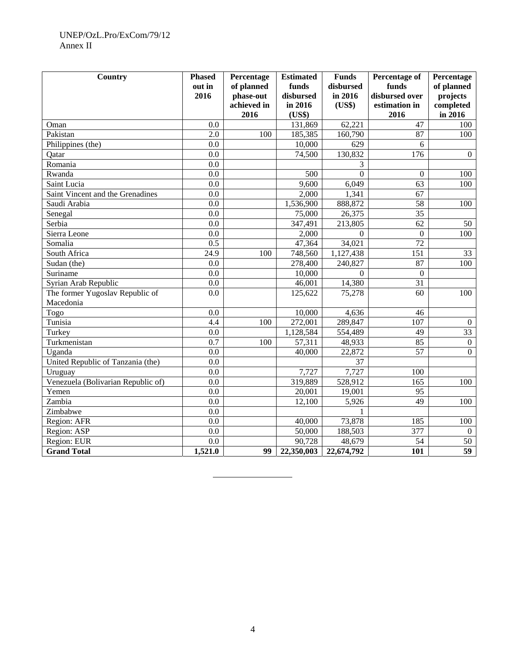# UNEP/OzL.Pro/ExCom/79/12 Annex II

| Country                            | <b>Phased</b><br>out in | Percentage<br>of planned | <b>Estimated</b><br>funds | <b>Funds</b><br>disbursed | Percentage of<br>funds | Percentage<br>of planned |
|------------------------------------|-------------------------|--------------------------|---------------------------|---------------------------|------------------------|--------------------------|
|                                    | 2016                    | phase-out                | disbursed                 | in 2016                   | disbursed over         | projects                 |
|                                    |                         | achieved in              | in 2016                   | (US\$)                    | estimation in          | completed                |
|                                    |                         | 2016                     | (US\$)                    |                           | 2016                   | in 2016                  |
| Oman                               | 0.0                     |                          | 131,869                   | 62,221                    | 47                     | 100                      |
| Pakistan                           | $\overline{2.0}$        | 100                      | 185,385                   | 160,790                   | 87                     | 100                      |
| Philippines (the)                  | 0.0                     |                          | 10,000                    | 629                       | 6                      |                          |
| Qatar                              | 0.0                     |                          | 74,500                    | 130,832                   | 176                    | $\mathbf{0}$             |
| Romania                            | 0.0                     |                          |                           | 3                         |                        |                          |
| Rwanda                             | 0.0                     |                          | 500                       | $\Omega$                  | $\overline{0}$         | 100                      |
| Saint Lucia                        | 0.0                     |                          | 9,600                     | 6,049                     | 63                     | 100                      |
| Saint Vincent and the Grenadines   | 0.0                     |                          | 2,000                     | 1,341                     | 67                     |                          |
| Saudi Arabia                       | $\overline{0.0}$        |                          | 1,536,900                 | 888,872                   | $\overline{58}$        | 100                      |
| Senegal                            | 0.0                     |                          | 75,000                    | 26,375                    | $\overline{35}$        |                          |
| Serbia                             | 0.0                     |                          | 347,491                   | 213,805                   | $\overline{62}$        | 50                       |
| Sierra Leone                       | 0.0                     |                          | 2,000                     | $\mathbf{0}$              | $\overline{0}$         | 100                      |
| Somalia                            | $\overline{0.5}$        |                          | 47,364                    | 34,021                    | 72                     |                          |
| South Africa                       | 24.9                    | 100                      | 748,560                   | $\overline{1,}127,438$    | 151                    | 33                       |
| Sudan (the)                        | 0.0                     |                          | 278,400                   | 240,827                   | 87                     | 100                      |
| Suriname                           | 0.0                     |                          | 10,000                    | $\Omega$                  | $\overline{0}$         |                          |
| Syrian Arab Republic               | 0.0                     |                          | 46,001                    | 14,380                    | 31                     |                          |
| The former Yugoslav Republic of    | 0.0                     |                          | 125,622                   | 75,278                    | 60                     | 100                      |
| Macedonia                          |                         |                          |                           |                           |                        |                          |
| Togo                               | 0.0                     |                          | 10,000                    | 4,636                     | 46                     |                          |
| Tunisia                            | 4.4                     | 100                      | 272,001                   | 289,847                   | $\overline{107}$       | $\Omega$                 |
| Turkey                             | 0.0                     |                          | 1,128,584                 | 554,489                   | 49                     | $\overline{33}$          |
| Turkmenistan                       | $\overline{0.7}$        | 100                      | 57,311                    | 48,933                    | 85                     | $\mathbf{0}$             |
| Uganda                             | 0.0                     |                          | 40,000                    | 22,872                    | $\overline{57}$        | $\mathbf{0}$             |
| United Republic of Tanzania (the)  | 0.0                     |                          |                           | 37                        |                        |                          |
| Uruguay                            | 0.0                     |                          | 7,727                     | 7,727                     | 100                    |                          |
| Venezuela (Bolivarian Republic of) | 0.0                     |                          | 319,889                   | 528,912                   | 165                    | 100                      |
| Yemen                              | 0.0                     |                          | 20,001                    | 19,001                    | 95                     |                          |
| Zambia                             | 0.0                     |                          | 12,100                    | 5,926                     | 49                     | 100                      |
| Zimbabwe                           | $\overline{0.0}$        |                          |                           |                           |                        |                          |
| Region: AFR                        | 0.0                     |                          | 40,000                    | 73,878                    | 185                    | 100                      |
| Region: ASP                        | 0.0                     |                          | 50,000                    | 188,503                   | 377                    | $\Omega$                 |
| Region: EUR                        | 0.0                     |                          | 90,728                    | 48,679                    | 54                     | 50                       |
| <b>Grand Total</b>                 | 1,521.0                 | 99                       | 22,350,003                | 22,674,792                | 101                    | $\overline{59}$          |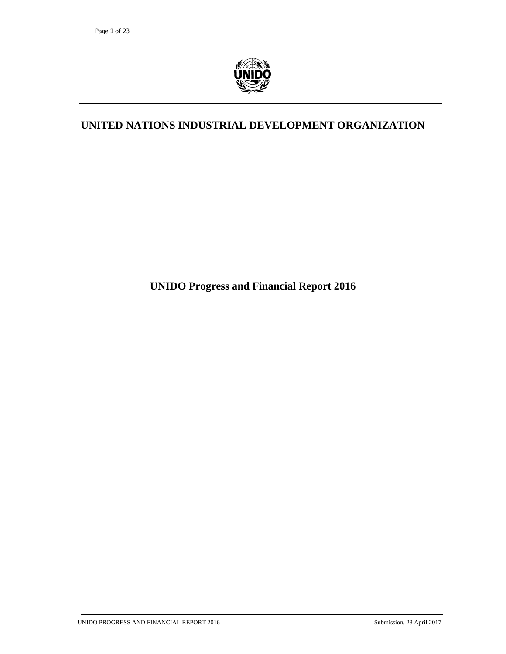

# **UNITED NATIONS INDUSTRIAL DEVELOPMENT ORGANIZATION**

**UNIDO Progress and Financial Report 2016**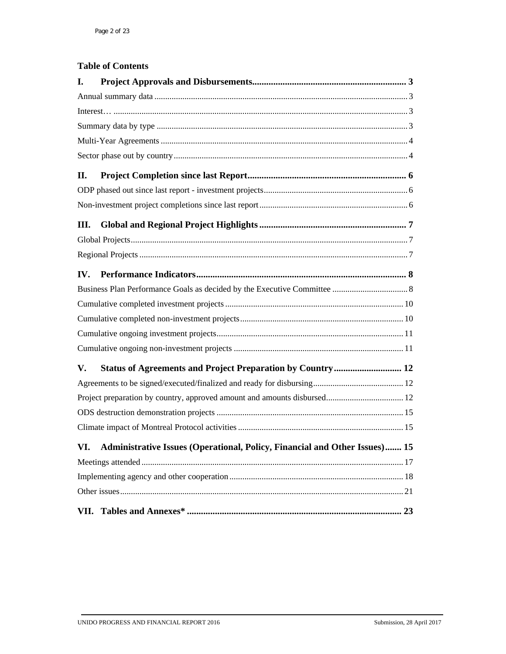# **Table of Contents**

| I.  |                                                                                |  |
|-----|--------------------------------------------------------------------------------|--|
|     |                                                                                |  |
|     |                                                                                |  |
|     |                                                                                |  |
|     |                                                                                |  |
|     |                                                                                |  |
| II. |                                                                                |  |
|     |                                                                                |  |
|     |                                                                                |  |
| Ш.  |                                                                                |  |
|     |                                                                                |  |
|     |                                                                                |  |
| IV. |                                                                                |  |
|     |                                                                                |  |
|     |                                                                                |  |
|     |                                                                                |  |
|     |                                                                                |  |
|     |                                                                                |  |
| V.  | Status of Agreements and Project Preparation by Country 12                     |  |
|     |                                                                                |  |
|     |                                                                                |  |
|     |                                                                                |  |
|     |                                                                                |  |
|     | VI. Administrative Issues (Operational, Policy, Financial and Other Issues) 15 |  |
|     |                                                                                |  |
|     |                                                                                |  |
|     |                                                                                |  |
|     |                                                                                |  |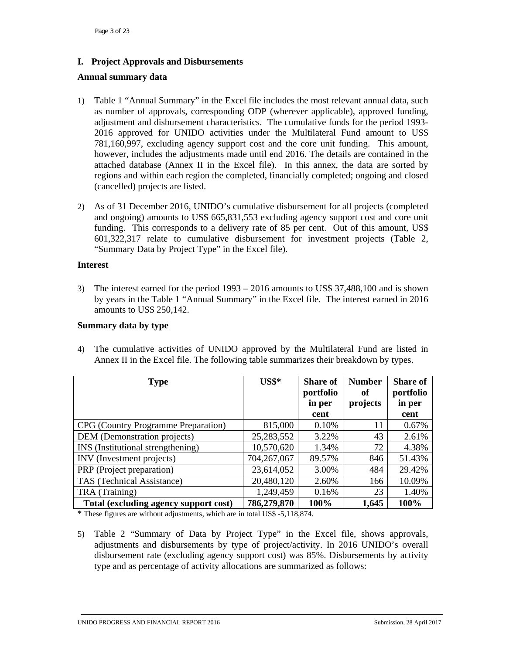# **I. Project Approvals and Disbursements**

#### **Annual summary data**

- 1) Table 1 "Annual Summary" in the Excel file includes the most relevant annual data, such as number of approvals, corresponding ODP (wherever applicable), approved funding, adjustment and disbursement characteristics. The cumulative funds for the period 1993- 2016 approved for UNIDO activities under the Multilateral Fund amount to US\$ 781,160,997, excluding agency support cost and the core unit funding. This amount, however, includes the adjustments made until end 2016. The details are contained in the attached database (Annex II in the Excel file). In this annex, the data are sorted by regions and within each region the completed, financially completed; ongoing and closed (cancelled) projects are listed.
- 2) As of 31 December 2016, UNIDO's cumulative disbursement for all projects (completed and ongoing) amounts to US\$ 665,831,553 excluding agency support cost and core unit funding. This corresponds to a delivery rate of 85 per cent. Out of this amount, US\$ 601,322,317 relate to cumulative disbursement for investment projects (Table 2, "Summary Data by Project Type" in the Excel file).

#### **Interest**

3) The interest earned for the period 1993 – 2016 amounts to US\$ 37,488,100 and is shown by years in the Table 1 "Annual Summary" in the Excel file. The interest earned in 2016 amounts to US\$ 250,142.

#### **Summary data by type**

4) The cumulative activities of UNIDO approved by the Multilateral Fund are listed in Annex II in the Excel file. The following table summarizes their breakdown by types.

| <b>Type</b>                                | $US$^*$     | <b>Share of</b><br>portfolio<br>in per | <b>Number</b><br>оť<br>projects | <b>Share of</b><br>portfolio<br>in per |
|--------------------------------------------|-------------|----------------------------------------|---------------------------------|----------------------------------------|
|                                            |             | cent                                   |                                 | cent                                   |
| <b>CPG</b> (Country Programme Preparation) | 815,000     | 0.10%                                  | 11                              | 0.67%                                  |
| DEM (Demonstration projects)               | 25,283,552  | 3.22%                                  | 43                              | 2.61%                                  |
| INS (Institutional strengthening)          | 10,570,620  | 1.34%                                  | 72                              | 4.38%                                  |
| INV (Investment projects)                  | 704,267,067 | 89.57%                                 | 846                             | 51.43%                                 |
| PRP (Project preparation)                  | 23,614,052  | 3.00%                                  | 484                             | 29.42%                                 |
| TAS (Technical Assistance)                 | 20,480,120  | 2.60%                                  | 166                             | 10.09%                                 |
| TRA (Training)                             | 1,249,459   | 0.16%                                  | 23                              | 1.40%                                  |
| Total (excluding agency support cost)      | 786,279,870 | 100%                                   | 1,645                           | 100%                                   |

\* These figures are without adjustments, which are in total US\$ -5,118,874.

5) Table 2 "Summary of Data by Project Type" in the Excel file, shows approvals, adjustments and disbursements by type of project/activity. In 2016 UNIDO's overall disbursement rate (excluding agency support cost) was 85%. Disbursements by activity type and as percentage of activity allocations are summarized as follows: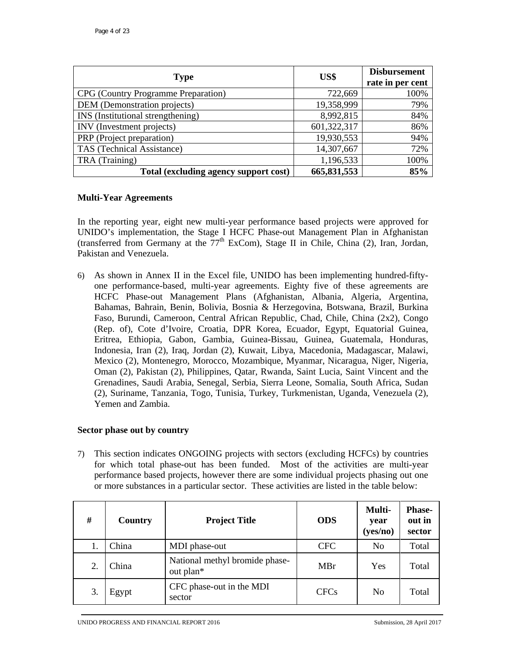| <b>Type</b>                           | US\$        | <b>Disbursement</b><br>rate in per cent |
|---------------------------------------|-------------|-----------------------------------------|
| CPG (Country Programme Preparation)   | 722,669     | 100%                                    |
| DEM (Demonstration projects)          | 19,358,999  | 79%                                     |
| INS (Institutional strengthening)     | 8,992,815   | 84%                                     |
| INV (Investment projects)             | 601,322,317 | 86%                                     |
| PRP (Project preparation)             | 19,930,553  | 94%                                     |
| TAS (Technical Assistance)            | 14,307,667  | 72%                                     |
| TRA (Training)                        | 1,196,533   | 100%                                    |
| Total (excluding agency support cost) | 665,831,553 | 85%                                     |

#### **Multi-Year Agreements**

In the reporting year, eight new multi-year performance based projects were approved for UNIDO's implementation, the Stage I HCFC Phase-out Management Plan in Afghanistan (transferred from Germany at the  $77<sup>th</sup>$  ExCom), Stage II in Chile, China (2), Iran, Jordan, Pakistan and Venezuela.

6) As shown in Annex II in the Excel file, UNIDO has been implementing hundred-fiftyone performance-based, multi-year agreements. Eighty five of these agreements are HCFC Phase-out Management Plans (Afghanistan, Albania, Algeria, Argentina, Bahamas, Bahrain, Benin, Bolivia, Bosnia & Herzegovina, Botswana, Brazil, Burkina Faso, Burundi, Cameroon, Central African Republic, Chad, Chile, China (2x2), Congo (Rep. of), Cote d'Ivoire, Croatia, DPR Korea, Ecuador, Egypt, Equatorial Guinea, Eritrea, Ethiopia, Gabon, Gambia, Guinea-Bissau, Guinea, Guatemala, Honduras, Indonesia, Iran (2), Iraq, Jordan (2), Kuwait, Libya, Macedonia, Madagascar, Malawi, Mexico (2), Montenegro, Morocco, Mozambique, Myanmar, Nicaragua, Niger, Nigeria, Oman (2), Pakistan (2), Philippines, Qatar, Rwanda, Saint Lucia, Saint Vincent and the Grenadines, Saudi Arabia, Senegal, Serbia, Sierra Leone, Somalia, South Africa, Sudan (2), Suriname, Tanzania, Togo, Tunisia, Turkey, Turkmenistan, Uganda, Venezuela (2), Yemen and Zambia.

#### **Sector phase out by country**

7) This section indicates ONGOING projects with sectors (excluding HCFCs) by countries for which total phase-out has been funded. Most of the activities are multi-year performance based projects, however there are some individual projects phasing out one or more substances in a particular sector. These activities are listed in the table below:

| #  | Country | <b>Project Title</b>                        | <b>ODS</b>  | Multi-<br>year<br>(yes/no) | <b>Phase-</b><br>out in<br>sector |
|----|---------|---------------------------------------------|-------------|----------------------------|-----------------------------------|
|    | China   | MDI phase-out                               | <b>CFC</b>  | N <sub>0</sub>             | Total                             |
| 2. | China   | National methyl bromide phase-<br>out plan* | MBr         | Yes                        | Total                             |
| 3. | Egypt   | CFC phase-out in the MDI<br>sector          | <b>CFCs</b> | N <sub>0</sub>             | Total                             |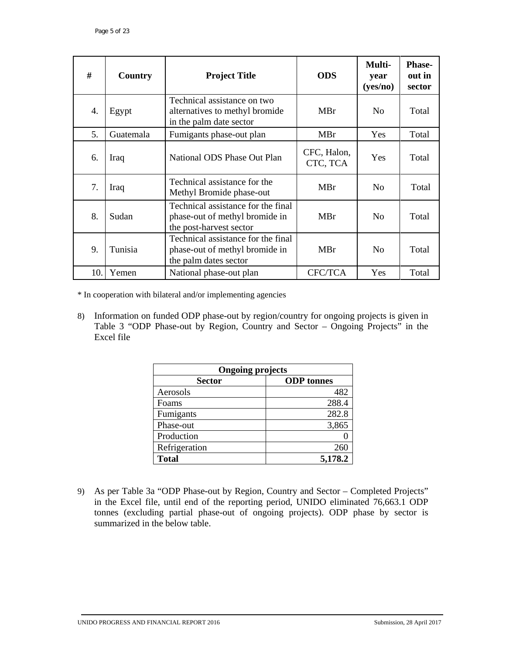| #   | Country   | <b>Project Title</b>                                                                            | <b>ODS</b>              | Multi-<br>year<br>(yes/no) | <b>Phase-</b><br>out in<br>sector |
|-----|-----------|-------------------------------------------------------------------------------------------------|-------------------------|----------------------------|-----------------------------------|
| 4.  | Egypt     | Technical assistance on two<br>alternatives to methyl bromide<br>in the palm date sector        | MBr                     | N <sub>0</sub>             | Total                             |
| 5.  | Guatemala | Fumigants phase-out plan                                                                        | MBr                     | <b>Yes</b>                 | Total                             |
| 6.  | Iraq      | National ODS Phase Out Plan                                                                     | CFC, Halon,<br>CTC, TCA | Yes                        | Total                             |
| 7.  | Iraq      | Technical assistance for the<br>Methyl Bromide phase-out                                        | MBr                     | N <sub>0</sub>             | Total                             |
| 8.  | Sudan     | Technical assistance for the final<br>phase-out of methyl bromide in<br>the post-harvest sector | MBr                     | N <sub>0</sub>             | Total                             |
| 9.  | Tunisia   | Technical assistance for the final<br>phase-out of methyl bromide in<br>the palm dates sector   | MBr                     | No                         | Total                             |
| 10. | Yemen     | National phase-out plan                                                                         | <b>CFC/TCA</b>          | Yes                        | Total                             |

\* In cooperation with bilateral and/or implementing agencies

8) Information on funded ODP phase-out by region/country for ongoing projects is given in Table 3 "ODP Phase-out by Region, Country and Sector – Ongoing Projects" in the Excel file

| <b>Ongoing projects</b> |                   |  |
|-------------------------|-------------------|--|
| <b>Sector</b>           | <b>ODP</b> tonnes |  |
| Aerosols                | 482               |  |
| Foams                   | 288.4             |  |
| Fumigants               | 282.8             |  |
| Phase-out               | 3,865             |  |
| Production              |                   |  |
| Refrigeration           | 260               |  |
| <b>Total</b>            | 5,178.2           |  |

9) As per Table 3a "ODP Phase-out by Region, Country and Sector – Completed Projects" in the Excel file, until end of the reporting period, UNIDO eliminated 76,663.1 ODP tonnes (excluding partial phase-out of ongoing projects). ODP phase by sector is summarized in the below table.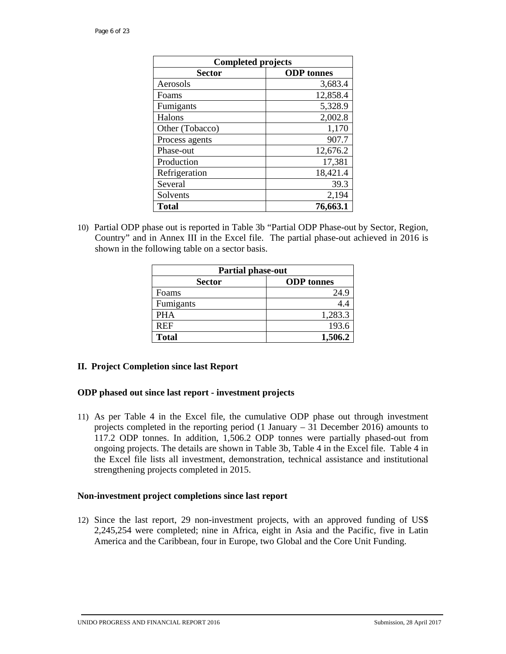| <b>Completed projects</b> |                   |  |
|---------------------------|-------------------|--|
| <b>Sector</b>             | <b>ODP</b> tonnes |  |
| Aerosols                  | 3,683.4           |  |
| Foams                     | 12,858.4          |  |
| Fumigants                 | 5,328.9           |  |
| Halons                    | 2,002.8           |  |
| Other (Tobacco)           | 1,170             |  |
| Process agents            | 907.7             |  |
| Phase-out                 | 12,676.2          |  |
| Production                | 17,381            |  |
| Refrigeration             | 18,421.4          |  |
| Several                   | 39.3              |  |
| Solvents                  | 2,194             |  |
| <b>Total</b>              | 76,663.1          |  |

10) Partial ODP phase out is reported in Table 3b "Partial ODP Phase-out by Sector, Region, Country" and in Annex III in the Excel file. The partial phase-out achieved in 2016 is shown in the following table on a sector basis.

| <b>Partial phase-out</b> |                   |  |
|--------------------------|-------------------|--|
| <b>Sector</b>            | <b>ODP</b> tonnes |  |
| Foams                    | 24.9              |  |
| Fumigants                | 4.4               |  |
| <b>PHA</b>               | 1,283.3           |  |
| REF                      | 193.6             |  |
| <b>Total</b>             | 1,506.2           |  |

#### **II. Project Completion since last Report**

#### **ODP phased out since last report - investment projects**

11) As per Table 4 in the Excel file, the cumulative ODP phase out through investment projects completed in the reporting period (1 January – 31 December 2016) amounts to 117.2 ODP tonnes. In addition, 1,506.2 ODP tonnes were partially phased-out from ongoing projects. The details are shown in Table 3b, Table 4 in the Excel file. Table 4 in the Excel file lists all investment, demonstration, technical assistance and institutional strengthening projects completed in 2015.

#### **Non-investment project completions since last report**

12) Since the last report, 29 non-investment projects, with an approved funding of US\$ 2,245,254 were completed; nine in Africa, eight in Asia and the Pacific, five in Latin America and the Caribbean, four in Europe, two Global and the Core Unit Funding.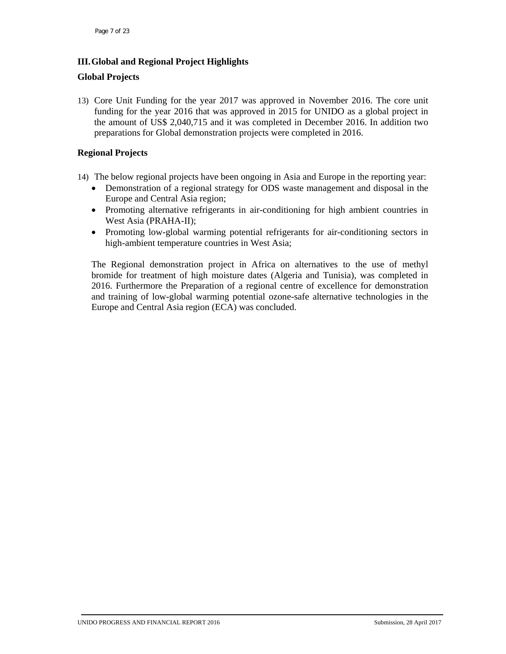# **III.Global and Regional Project Highlights**

# **Global Projects**

13) Core Unit Funding for the year 2017 was approved in November 2016. The core unit funding for the year 2016 that was approved in 2015 for UNIDO as a global project in the amount of US\$ 2,040,715 and it was completed in December 2016. In addition two preparations for Global demonstration projects were completed in 2016.

# **Regional Projects**

- 14) The below regional projects have been ongoing in Asia and Europe in the reporting year:
	- Demonstration of a regional strategy for ODS waste management and disposal in the Europe and Central Asia region;
	- Promoting alternative refrigerants in air-conditioning for high ambient countries in West Asia (PRAHA-II);
	- Promoting low-global warming potential refrigerants for air-conditioning sectors in high-ambient temperature countries in West Asia;

The Regional demonstration project in Africa on alternatives to the use of methyl bromide for treatment of high moisture dates (Algeria and Tunisia), was completed in 2016. Furthermore the Preparation of a regional centre of excellence for demonstration and training of low-global warming potential ozone-safe alternative technologies in the Europe and Central Asia region (ECA) was concluded.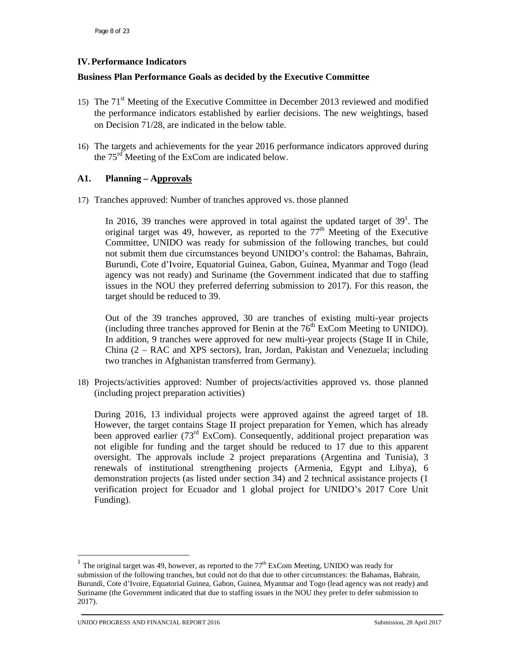# **IV.Performance Indicators**

## **Business Plan Performance Goals as decided by the Executive Committee**

- 15) The 71<sup>st</sup> Meeting of the Executive Committee in December 2013 reviewed and modified the performance indicators established by earlier decisions. The new weightings, based on Decision 71/28, are indicated in the below table.
- 16) The targets and achievements for the year 2016 performance indicators approved during the 75<sup>rd</sup> Meeting of the ExCom are indicated below.

# **A1. Planning – Approvals**

17) Tranches approved: Number of tranches approved vs. those planned

In 2016, 39 tranches were approved in total against the updated target of  $39<sup>1</sup>$ . The original target was 49, however, as reported to the  $77<sup>th</sup>$  Meeting of the Executive Committee, UNIDO was ready for submission of the following tranches, but could not submit them due circumstances beyond UNIDO's control: the Bahamas, Bahrain, Burundi, Cote d'Ivoire, Equatorial Guinea, Gabon, Guinea, Myanmar and Togo (lead agency was not ready) and Suriname (the Government indicated that due to staffing issues in the NOU they preferred deferring submission to 2017). For this reason, the target should be reduced to 39.

Out of the 39 tranches approved, 30 are tranches of existing multi-year projects (including three tranches approved for Benin at the  $76<sup>th</sup>$  ExCom Meeting to UNIDO). In addition, 9 tranches were approved for new multi-year projects (Stage II in Chile, China (2 – RAC and XPS sectors), Iran, Jordan, Pakistan and Venezuela; including two tranches in Afghanistan transferred from Germany).

18) Projects/activities approved: Number of projects/activities approved vs. those planned (including project preparation activities)

During 2016, 13 individual projects were approved against the agreed target of 18. However, the target contains Stage II project preparation for Yemen, which has already been approved earlier  $(73<sup>rd</sup> ExCom)$ . Consequently, additional project preparation was not eligible for funding and the target should be reduced to 17 due to this apparent oversight. The approvals include 2 project preparations (Argentina and Tunisia), 3 renewals of institutional strengthening projects (Armenia, Egypt and Libya), 6 demonstration projects (as listed under section 34) and 2 technical assistance projects (1 verification project for Ecuador and 1 global project for UNIDO's 2017 Core Unit Funding).

-

<sup>&</sup>lt;sup>1</sup> The original target was 49, however, as reported to the  $77<sup>th</sup>$  ExCom Meeting, UNIDO was ready for submission of the following tranches, but could not do that due to other circumstances: the Bahamas, Bahrain, Burundi, Cote d'Ivoire, Equatorial Guinea, Gabon, Guinea, Myanmar and Togo (lead agency was not ready) and Suriname (the Government indicated that due to staffing issues in the NOU they prefer to defer submission to 2017).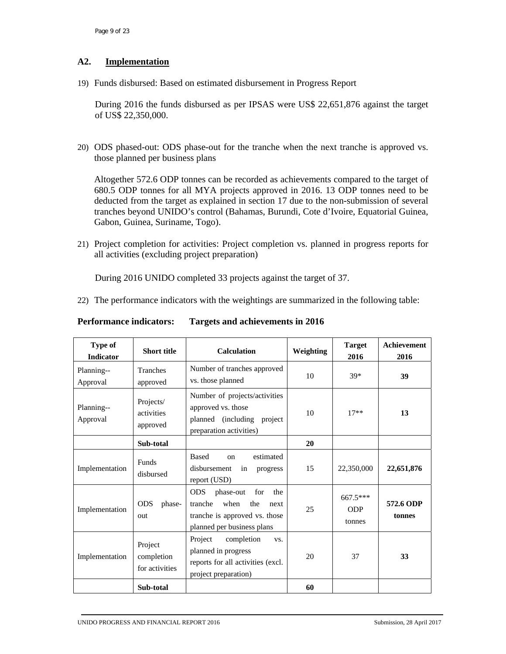# **A2. Implementation**

19) Funds disbursed: Based on estimated disbursement in Progress Report

During 2016 the funds disbursed as per IPSAS were US\$ 22,651,876 against the target of US\$ 22,350,000.

20) ODS phased-out: ODS phase-out for the tranche when the next tranche is approved vs. those planned per business plans

Altogether 572.6 ODP tonnes can be recorded as achievements compared to the target of 680.5 ODP tonnes for all MYA projects approved in 2016. 13 ODP tonnes need to be deducted from the target as explained in section 17 due to the non-submission of several tranches beyond UNIDO's control (Bahamas, Burundi, Cote d'Ivoire, Equatorial Guinea, Gabon, Guinea, Suriname, Togo).

21) Project completion for activities: Project completion vs. planned in progress reports for all activities (excluding project preparation)

During 2016 UNIDO completed 33 projects against the target of 37.

22) The performance indicators with the weightings are summarized in the following table:

| Type of<br><b>Indicator</b> | <b>Short title</b>                      | <b>Calculation</b>                                                                                                                     | Weighting | <b>Target</b><br>2016              | <b>Achievement</b><br>2016 |
|-----------------------------|-----------------------------------------|----------------------------------------------------------------------------------------------------------------------------------------|-----------|------------------------------------|----------------------------|
| Planning--<br>Approval      | Tranches<br>approved                    | Number of tranches approved<br>vs. those planned                                                                                       | 10        | $39*$                              | 39                         |
| Planning--<br>Approval      | Projects/<br>activities<br>approved     | Number of projects/activities<br>approved vs. those<br>planned (including project<br>preparation activities)                           | 10        | $17**$                             | 13                         |
|                             | Sub-total                               |                                                                                                                                        | 20        |                                    |                            |
| Implementation              | <b>Funds</b><br>disbursed               | <b>Based</b><br>estimated<br><sub>on</sub><br>disbursement<br>in<br>progress<br>report (USD)                                           | 15        | 22,350,000                         | 22,651,876                 |
| Implementation              | <b>ODS</b><br>phase-<br>out             | <b>ODS</b><br>phase-out<br>for<br>the<br>tranche<br>when<br>the<br>next<br>tranche is approved vs. those<br>planned per business plans | 25        | $667.5***$<br><b>ODP</b><br>tonnes | 572.6 ODP<br>tonnes        |
| Implementation              | Project<br>completion<br>for activities | Project<br>completion<br>VS.<br>planned in progress<br>reports for all activities (excl.<br>project preparation)                       | 20        | 37                                 | 33                         |
|                             | Sub-total                               |                                                                                                                                        | 60        |                                    |                            |

#### **Performance indicators: Targets and achievements in 2016**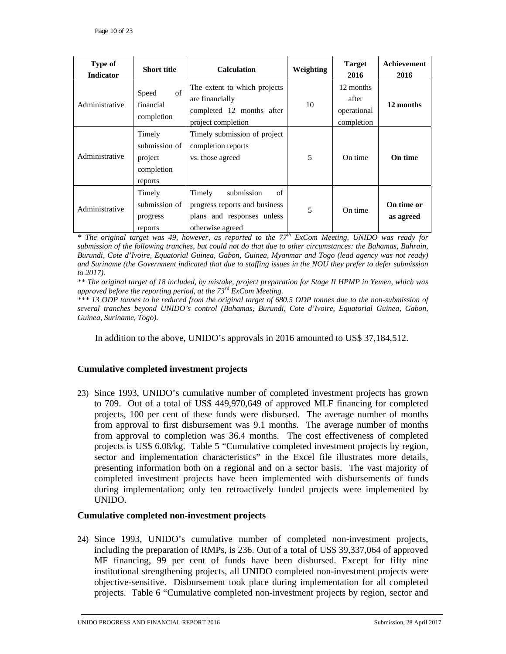| <b>Type of</b><br><b>Indicator</b> | <b>Short title</b>                                          | <b>Calculation</b>                                                                                            | Weighting | <b>Target</b><br>2016                           | <b>Achievement</b><br>2016 |
|------------------------------------|-------------------------------------------------------------|---------------------------------------------------------------------------------------------------------------|-----------|-------------------------------------------------|----------------------------|
| Administrative                     | of<br>Speed<br>financial<br>completion                      | The extent to which projects<br>are financially<br>completed 12 months after<br>project completion            | 10        | 12 months<br>after<br>operational<br>completion | 12 months                  |
| Administrative                     | Timely<br>submission of<br>project<br>completion<br>reports | Timely submission of project<br>completion reports<br>vs. those agreed                                        | 5         | On time                                         | On time                    |
| Administrative                     | Timely<br>submission of<br>progress<br>reports              | of<br>Timely<br>submission<br>progress reports and business<br>plans and responses unless<br>otherwise agreed | 5         | On time                                         | On time or<br>as agreed    |

*\* The original target was 49, however, as reported to the 77th ExCom Meeting, UNIDO was ready for submission of the following tranches, but could not do that due to other circumstances: the Bahamas, Bahrain, Burundi, Cote d'Ivoire, Equatorial Guinea, Gabon, Guinea, Myanmar and Togo (lead agency was not ready) and Suriname (the Government indicated that due to staffing issues in the NOU they prefer to defer submission to 2017).* 

*\*\* The original target of 18 included, by mistake, project preparation for Stage II HPMP in Yemen, which was approved before the reporting period, at the 73rd ExCom Meeting.* 

*\*\*\* 13 ODP tonnes to be reduced from the original target of 680.5 ODP tonnes due to the non-submission of several tranches beyond UNIDO's control (Bahamas, Burundi, Cote d'Ivoire, Equatorial Guinea, Gabon, Guinea, Suriname, Togo).* 

In addition to the above, UNIDO's approvals in 2016 amounted to US\$ 37,184,512.

#### **Cumulative completed investment projects**

23) Since 1993, UNIDO's cumulative number of completed investment projects has grown to 709. Out of a total of US\$ 449,970,649 of approved MLF financing for completed projects, 100 per cent of these funds were disbursed. The average number of months from approval to first disbursement was 9.1 months. The average number of months from approval to completion was 36.4 months. The cost effectiveness of completed projects is US\$ 6.08/kg. Table 5 "Cumulative completed investment projects by region, sector and implementation characteristics" in the Excel file illustrates more details, presenting information both on a regional and on a sector basis. The vast majority of completed investment projects have been implemented with disbursements of funds during implementation; only ten retroactively funded projects were implemented by UNIDO.

#### **Cumulative completed non-investment projects**

24) Since 1993, UNIDO's cumulative number of completed non-investment projects, including the preparation of RMPs, is 236. Out of a total of US\$ 39,337,064 of approved MF financing, 99 per cent of funds have been disbursed. Except for fifty nine institutional strengthening projects, all UNIDO completed non-investment projects were objective-sensitive. Disbursement took place during implementation for all completed projects. Table 6 "Cumulative completed non-investment projects by region, sector and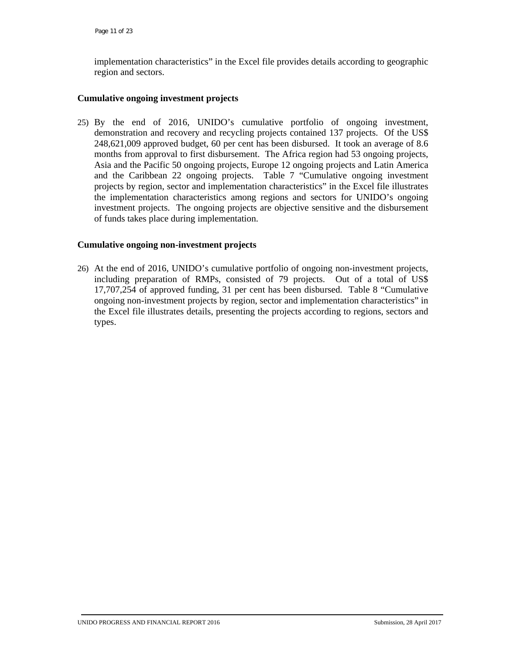implementation characteristics" in the Excel file provides details according to geographic region and sectors.

## **Cumulative ongoing investment projects**

25) By the end of 2016, UNIDO's cumulative portfolio of ongoing investment, demonstration and recovery and recycling projects contained 137 projects. Of the US\$ 248,621,009 approved budget, 60 per cent has been disbursed. It took an average of 8.6 months from approval to first disbursement. The Africa region had 53 ongoing projects, Asia and the Pacific 50 ongoing projects, Europe 12 ongoing projects and Latin America and the Caribbean 22 ongoing projects. Table 7 "Cumulative ongoing investment projects by region, sector and implementation characteristics" in the Excel file illustrates the implementation characteristics among regions and sectors for UNIDO's ongoing investment projects. The ongoing projects are objective sensitive and the disbursement of funds takes place during implementation.

# **Cumulative ongoing non-investment projects**

26) At the end of 2016, UNIDO's cumulative portfolio of ongoing non-investment projects, including preparation of RMPs, consisted of 79 projects. Out of a total of US\$ 17,707,254 of approved funding, 31 per cent has been disbursed. Table 8 "Cumulative ongoing non-investment projects by region, sector and implementation characteristics" in the Excel file illustrates details, presenting the projects according to regions, sectors and types.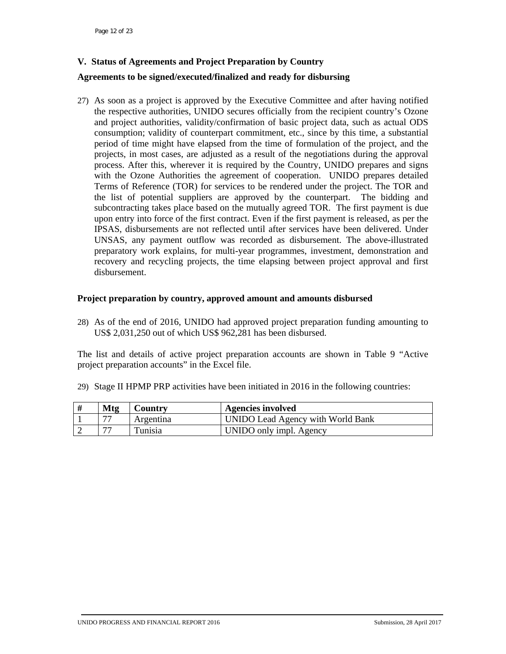# **V. Status of Agreements and Project Preparation by Country**

#### **Agreements to be signed/executed/finalized and ready for disbursing**

27) As soon as a project is approved by the Executive Committee and after having notified the respective authorities, UNIDO secures officially from the recipient country's Ozone and project authorities, validity/confirmation of basic project data, such as actual ODS consumption; validity of counterpart commitment, etc., since by this time, a substantial period of time might have elapsed from the time of formulation of the project, and the projects, in most cases, are adjusted as a result of the negotiations during the approval process. After this, wherever it is required by the Country, UNIDO prepares and signs with the Ozone Authorities the agreement of cooperation. UNIDO prepares detailed Terms of Reference (TOR) for services to be rendered under the project. The TOR and the list of potential suppliers are approved by the counterpart. The bidding and subcontracting takes place based on the mutually agreed TOR. The first payment is due upon entry into force of the first contract. Even if the first payment is released, as per the IPSAS, disbursements are not reflected until after services have been delivered. Under UNSAS, any payment outflow was recorded as disbursement. The above-illustrated preparatory work explains, for multi-year programmes, investment, demonstration and recovery and recycling projects, the time elapsing between project approval and first disbursement.

#### **Project preparation by country, approved amount and amounts disbursed**

28) As of the end of 2016, UNIDO had approved project preparation funding amounting to US\$ 2,031,250 out of which US\$ 962,281 has been disbursed.

The list and details of active project preparation accounts are shown in Table 9 "Active project preparation accounts" in the Excel file.

29) Stage II HPMP PRP activities have been initiated in 2016 in the following countries:

| <b>Mtg</b>               | <b>Country</b> | Agencies involved                 |
|--------------------------|----------------|-----------------------------------|
| $\overline{\phantom{a}}$ | Argentina      | UNIDO Lead Agency with World Bank |
| $\mathbf{H}$             | Tunisia        | UNIDO only impl. Agency           |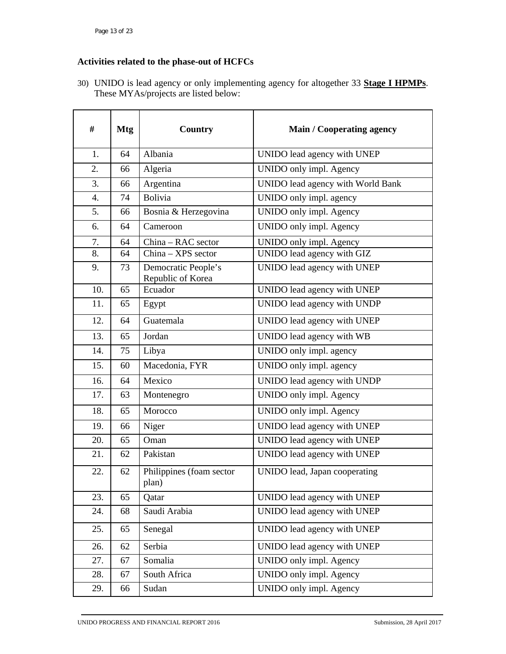# **Activities related to the phase-out of HCFCs**

30) UNIDO is lead agency or only implementing agency for altogether 33 **Stage I HPMPs**. These MYAs/projects are listed below:

| #   | <b>Mtg</b> | <b>Country</b>                           | <b>Main / Cooperating agency</b>  |  |
|-----|------------|------------------------------------------|-----------------------------------|--|
| 1.  | 64         | Albania                                  | UNIDO lead agency with UNEP       |  |
| 2.  | 66         | Algeria                                  | UNIDO only impl. Agency           |  |
| 3.  | 66         | Argentina                                | UNIDO lead agency with World Bank |  |
| 4.  | 74         | <b>Bolivia</b>                           | UNIDO only impl. agency           |  |
| 5.  | 66         | Bosnia & Herzegovina                     | UNIDO only impl. Agency           |  |
| 6.  | 64         | Cameroon                                 | UNIDO only impl. Agency           |  |
| 7.  | 64         | China - RAC sector                       | UNIDO only impl. Agency           |  |
| 8.  | 64         | China - XPS sector                       | UNIDO lead agency with GIZ        |  |
| 9.  | 73         | Democratic People's<br>Republic of Korea | UNIDO lead agency with UNEP       |  |
| 10. | 65         | Ecuador                                  | UNIDO lead agency with UNEP       |  |
| 11. | 65         | Egypt                                    | UNIDO lead agency with UNDP       |  |
| 12. | 64         | Guatemala                                | UNIDO lead agency with UNEP       |  |
| 13. | 65         | Jordan                                   | UNIDO lead agency with WB         |  |
| 14. | 75         | Libya                                    | UNIDO only impl. agency           |  |
| 15. | 60         | Macedonia, FYR                           | UNIDO only impl. agency           |  |
| 16. | 64         | Mexico                                   | UNIDO lead agency with UNDP       |  |
| 17. | 63         | Montenegro                               | UNIDO only impl. Agency           |  |
| 18. | 65         | Morocco                                  | UNIDO only impl. Agency           |  |
| 19. | 66         | Niger                                    | UNIDO lead agency with UNEP       |  |
| 20. | 65         | Oman                                     | UNIDO lead agency with UNEP       |  |
| 21. | 62         | Pakistan                                 | UNIDO lead agency with UNEP       |  |
| 22. | 62         | Philippines (foam sector<br>plan)        | UNIDO lead, Japan cooperating     |  |
| 23. | 65         | Qatar                                    | UNIDO lead agency with UNEP       |  |
| 24. | 68         | Saudi Arabia                             | UNIDO lead agency with UNEP       |  |
| 25. | 65         | Senegal                                  | UNIDO lead agency with UNEP       |  |
| 26. | 62         | Serbia                                   | UNIDO lead agency with UNEP       |  |
| 27. | 67         | Somalia                                  | UNIDO only impl. Agency           |  |
| 28. | 67         | South Africa                             | UNIDO only impl. Agency           |  |
| 29. | 66         | Sudan                                    | UNIDO only impl. Agency           |  |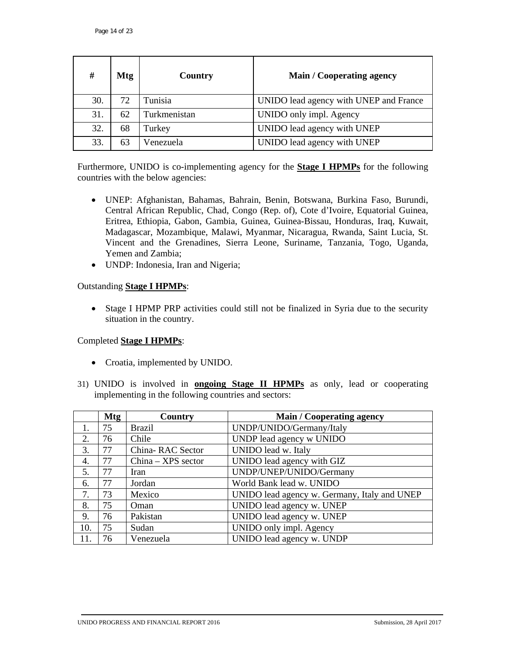| #   | <b>Mtg</b> | Country      | <b>Main / Cooperating agency</b>       |
|-----|------------|--------------|----------------------------------------|
| 30. | 72         | Tunisia      | UNIDO lead agency with UNEP and France |
| 31. | 62         | Turkmenistan | UNIDO only impl. Agency                |
| 32. | 68         | Turkey       | UNIDO lead agency with UNEP            |
| 33. | 63         | Venezuela    | UNIDO lead agency with UNEP            |

Furthermore, UNIDO is co-implementing agency for the **Stage I HPMPs** for the following countries with the below agencies:

- UNEP: Afghanistan, Bahamas, Bahrain, Benin, Botswana, Burkina Faso, Burundi, Central African Republic, Chad, Congo (Rep. of), Cote d'Ivoire, Equatorial Guinea, Eritrea, Ethiopia, Gabon, Gambia, Guinea, Guinea-Bissau, Honduras, Iraq, Kuwait, Madagascar, Mozambique, Malawi, Myanmar, Nicaragua, Rwanda, Saint Lucia, St. Vincent and the Grenadines, Sierra Leone, Suriname, Tanzania, Togo, Uganda, Yemen and Zambia;
- UNDP: Indonesia, Iran and Nigeria;

# Outstanding **Stage I HPMPs**:

• Stage I HPMP PRP activities could still not be finalized in Syria due to the security situation in the country.

# Completed **Stage I HPMPs**:

- Croatia, implemented by UNIDO.
- 31) UNIDO is involved in **ongoing Stage II HPMPs** as only, lead or cooperating implementing in the following countries and sectors:

|     | <b>Mtg</b> | Country              | <b>Main / Cooperating agency</b>             |
|-----|------------|----------------------|----------------------------------------------|
|     | 75         | <b>Brazil</b>        | UNDP/UNIDO/Germany/Italy                     |
| 2.  | 76         | Chile                | UNDP lead agency w UNIDO                     |
| 3.  | 77         | China-RAC Sector     | UNIDO lead w. Italy                          |
| 4.  | 77         | $China - XPS sector$ | UNIDO lead agency with GIZ                   |
| 5.  | 77         | <b>Iran</b>          | UNDP/UNEP/UNIDO/Germany                      |
| 6.  | 77         | Jordan               | World Bank lead w. UNIDO                     |
| 7.  | 73         | Mexico               | UNIDO lead agency w. Germany, Italy and UNEP |
| 8.  | 75         | Oman                 | UNIDO lead agency w. UNEP                    |
| 9.  | 76         | Pakistan             | UNIDO lead agency w. UNEP                    |
| 10. | 75         | Sudan                | UNIDO only impl. Agency                      |
| 11. | 76         | Venezuela            | UNIDO lead agency w. UNDP                    |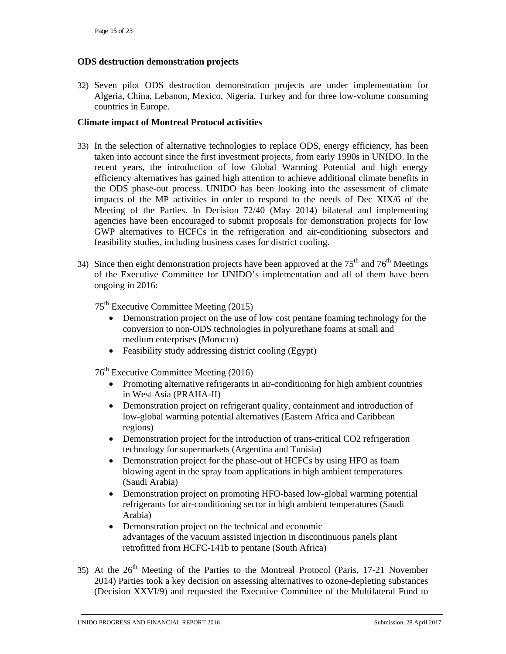# **ODS destruction demonstration projects**

32) Seven pilot ODS destruction demonstration projects are under implementation for Algeria, China, Lebanon, Mexico, Nigeria, Turkey and for three low-volume consuming countries in Europe.

# **Climate impact of Montreal Protocol activities**

- 33) In the selection of alternative technologies to replace ODS, energy efficiency, has been taken into account since the first investment projects, from early 1990s in UNIDO. In the recent years, the introduction of low Global Warming Potential and high energy efficiency alternatives has gained high attention to achieve additional climate benefits in the ODS phase-out process. UNIDO has been looking into the assessment of climate impacts of the MP activities in order to respond to the needs of Dec XIX/6 of the Meeting of the Parties. In Decision 72/40 (May 2014) bilateral and implementing agencies have been encouraged to submit proposals for demonstration projects for low GWP alternatives to HCFCs in the refrigeration and air-conditioning subsectors and feasibility studies, including business cases for district cooling.
- 34) Since then eight demonstration projects have been approved at the  $75<sup>th</sup>$  and  $76<sup>th</sup>$  Meetings of the Executive Committee for UNIDO's implementation and all of them have been ongoing in 2016:

 $75<sup>th</sup>$  Executive Committee Meeting (2015)

- Demonstration project on the use of low cost pentane foaming technology for the conversion to non-ODS technologies in polyurethane foams at small and medium enterprises (Morocco)
- Feasibility study addressing district cooling (Egypt)

76th Executive Committee Meeting (2016)

- Promoting alternative refrigerants in air-conditioning for high ambient countries in West Asia (PRAHA-II)
- Demonstration project on refrigerant quality, containment and introduction of low-global warming potential alternatives (Eastern Africa and Caribbean regions)
- Demonstration project for the introduction of trans-critical CO2 refrigeration technology for supermarkets (Argentina and Tunisia)
- Demonstration project for the phase-out of HCFCs by using HFO as foam blowing agent in the spray foam applications in high ambient temperatures (Saudi Arabia)
- Demonstration project on promoting HFO-based low-global warming potential refrigerants for air-conditioning sector in high ambient temperatures (Saudi Arabia)
- Demonstration project on the technical and economic advantages of the vacuum assisted injection in discontinuous panels plant retrofitted from HCFC-141b to pentane (South Africa)
- 35) At the  $26<sup>th</sup>$  Meeting of the Parties to the Montreal Protocol (Paris, 17-21 November 2014) Parties took a key decision on assessing alternatives to ozone-depleting substances (Decision XXVI/9) and requested the Executive Committee of the Multilateral Fund to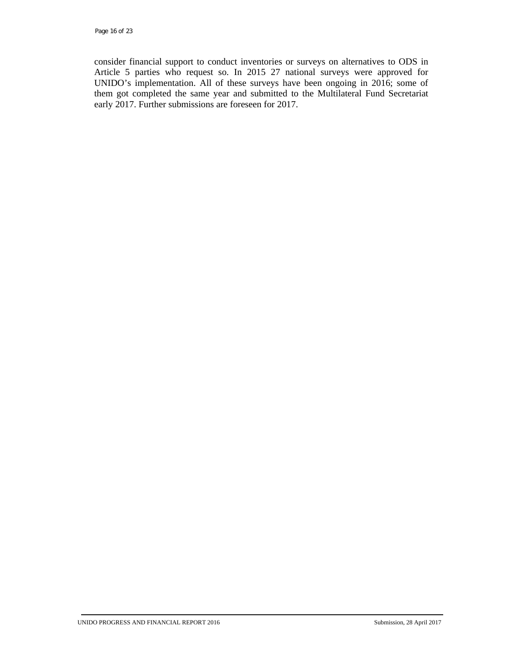consider financial support to conduct inventories or surveys on alternatives to ODS in Article 5 parties who request so. In 2015 27 national surveys were approved for UNIDO's implementation. All of these surveys have been ongoing in 2016; some of them got completed the same year and submitted to the Multilateral Fund Secretariat early 2017. Further submissions are foreseen for 2017.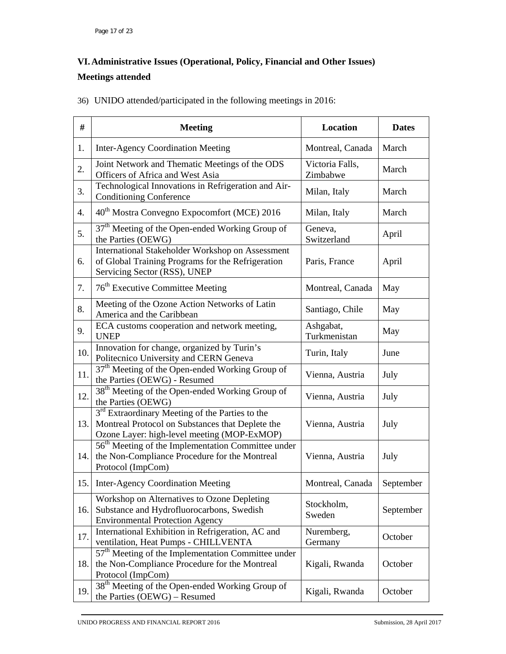# **VI.Administrative Issues (Operational, Policy, Financial and Other Issues) Meetings attended**

|  |  |  | 36) UNIDO attended/participated in the following meetings in 2016: |
|--|--|--|--------------------------------------------------------------------|
|  |  |  |                                                                    |

| #   | <b>Meeting</b>                                                                                                                                       | <b>Location</b>             | <b>Dates</b> |
|-----|------------------------------------------------------------------------------------------------------------------------------------------------------|-----------------------------|--------------|
| 1.  | <b>Inter-Agency Coordination Meeting</b>                                                                                                             | Montreal, Canada            |              |
| 2.  | Joint Network and Thematic Meetings of the ODS<br>Officers of Africa and West Asia                                                                   | Victoria Falls,<br>Zimbabwe | March        |
| 3.  | Technological Innovations in Refrigeration and Air-<br><b>Conditioning Conference</b>                                                                | Milan, Italy                | March        |
| 4.  | 40 <sup>th</sup> Mostra Convegno Expocomfort (MCE) 2016                                                                                              | Milan, Italy                | March        |
| 5.  | 37 <sup>th</sup> Meeting of the Open-ended Working Group of<br>the Parties (OEWG)                                                                    | Geneva,<br>Switzerland      | April        |
| 6.  | International Stakeholder Workshop on Assessment<br>of Global Training Programs for the Refrigeration<br>Servicing Sector (RSS), UNEP                | Paris, France               | April        |
| 7.  | 76 <sup>th</sup> Executive Committee Meeting                                                                                                         | Montreal, Canada            | May          |
| 8.  | Meeting of the Ozone Action Networks of Latin<br>America and the Caribbean                                                                           | Santiago, Chile             | May          |
| 9.  | ECA customs cooperation and network meeting,<br><b>UNEP</b>                                                                                          | Ashgabat,<br>Turkmenistan   | May          |
| 10. | Innovation for change, organized by Turin's<br>Politecnico University and CERN Geneva                                                                | Turin, Italy                | June         |
| 11. | 37 <sup>th</sup> Meeting of the Open-ended Working Group of<br>the Parties (OEWG) - Resumed                                                          | Vienna, Austria             | July         |
| 12. | 38 <sup>th</sup> Meeting of the Open-ended Working Group of<br>the Parties (OEWG)                                                                    | Vienna, Austria             | July         |
| 13. | $3rd$ Extraordinary Meeting of the Parties to the<br>Montreal Protocol on Substances that Deplete the<br>Ozone Layer: high-level meeting (MOP-ExMOP) | Vienna, Austria             | July         |
| 14. | 56 <sup>th</sup> Meeting of the Implementation Committee under<br>the Non-Compliance Procedure for the Montreal<br>Protocol (ImpCom)                 | Vienna, Austria             | July         |
|     | 15. Inter-Agency Coordination Meeting                                                                                                                | Montreal, Canada            | September    |
| 16. | Workshop on Alternatives to Ozone Depleting<br>Substance and Hydrofluorocarbons, Swedish<br><b>Environmental Protection Agency</b>                   | Stockholm,<br>Sweden        | September    |
| 17. | International Exhibition in Refrigeration, AC and<br>ventilation, Heat Pumps - CHILLVENTA                                                            | Nuremberg,<br>Germany       | October      |
| 18. | 57 <sup>th</sup> Meeting of the Implementation Committee under<br>the Non-Compliance Procedure for the Montreal<br>Protocol (ImpCom)                 | Kigali, Rwanda              | October      |
| 19. | 38 <sup>th</sup> Meeting of the Open-ended Working Group of<br>the Parties (OEWG) - Resumed                                                          | Kigali, Rwanda              | October      |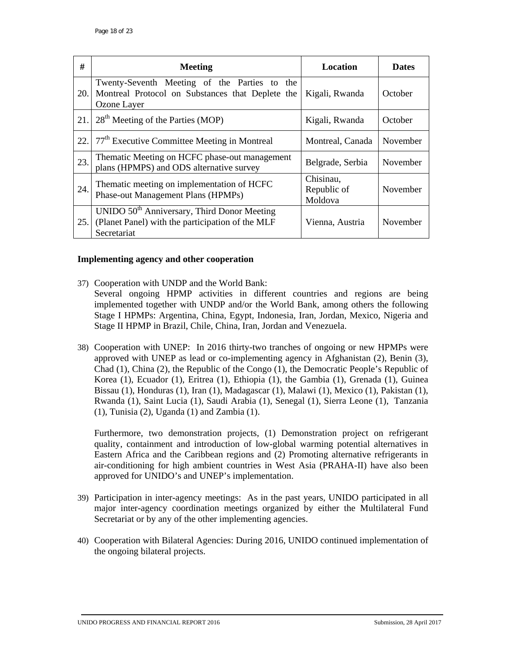| #   | <b>Meeting</b>                                                                                                             | <b>Location</b>                     | <b>Dates</b> |
|-----|----------------------------------------------------------------------------------------------------------------------------|-------------------------------------|--------------|
| 20. | Twenty-Seventh Meeting of the Parties to<br>the<br>Montreal Protocol on Substances that Deplete the<br>Ozone Layer         | Kigali, Rwanda                      | October      |
| 21. | 28 <sup>th</sup> Meeting of the Parties (MOP)                                                                              | Kigali, Rwanda                      | October      |
| 22. | 77 <sup>th</sup> Executive Committee Meeting in Montreal                                                                   | Montreal, Canada                    | November     |
| 23. | Thematic Meeting on HCFC phase-out management<br>plans (HPMPS) and ODS alternative survey                                  | Belgrade, Serbia                    | November     |
| 24. | Thematic meeting on implementation of HCFC<br>Phase-out Management Plans (HPMPs)                                           | Chisinau,<br>Republic of<br>Moldova | November     |
| 25. | UNIDO 50 <sup>th</sup> Anniversary, Third Donor Meeting<br>(Planet Panel) with the participation of the MLF<br>Secretariat | Vienna, Austria                     | November     |

#### **Implementing agency and other cooperation**

- 37) Cooperation with UNDP and the World Bank: Several ongoing HPMP activities in different countries and regions are being implemented together with UNDP and/or the World Bank, among others the following Stage I HPMPs: Argentina, China, Egypt, Indonesia, Iran, Jordan, Mexico, Nigeria and Stage II HPMP in Brazil, Chile, China, Iran, Jordan and Venezuela.
- 38) Cooperation with UNEP: In 2016 thirty-two tranches of ongoing or new HPMPs were approved with UNEP as lead or co-implementing agency in Afghanistan (2), Benin (3), Chad (1), China (2), the Republic of the Congo (1), the Democratic People's Republic of Korea (1), Ecuador (1), Eritrea (1), Ethiopia (1), the Gambia (1), Grenada (1), Guinea Bissau (1), Honduras (1), Iran (1), Madagascar (1), Malawi (1), Mexico (1), Pakistan (1), Rwanda (1), Saint Lucia (1), Saudi Arabia (1), Senegal (1), Sierra Leone (1), Tanzania (1), Tunisia (2), Uganda (1) and Zambia (1).

Furthermore, two demonstration projects, (1) Demonstration project on refrigerant quality, containment and introduction of low-global warming potential alternatives in Eastern Africa and the Caribbean regions and (2) Promoting alternative refrigerants in air-conditioning for high ambient countries in West Asia (PRAHA-II) have also been approved for UNIDO's and UNEP's implementation.

- 39) Participation in inter-agency meetings: As in the past years, UNIDO participated in all major inter-agency coordination meetings organized by either the Multilateral Fund Secretariat or by any of the other implementing agencies.
- 40) Cooperation with Bilateral Agencies: During 2016, UNIDO continued implementation of the ongoing bilateral projects.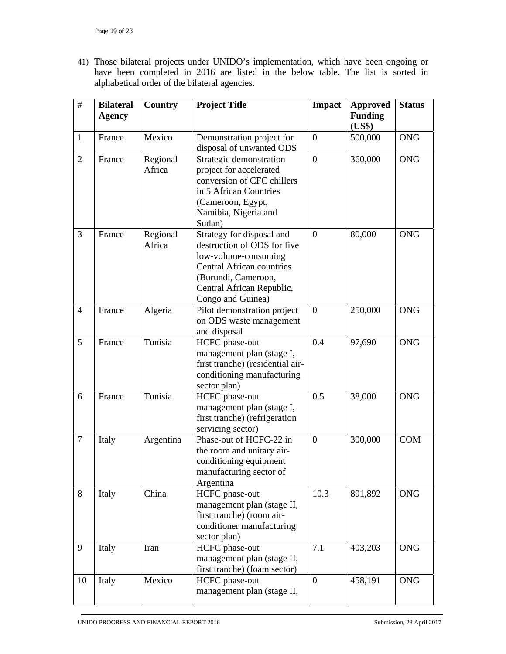41) Those bilateral projects under UNIDO's implementation, which have been ongoing or have been completed in 2016 are listed in the below table. The list is sorted in alphabetical order of the bilateral agencies.

| $\#$           | <b>Bilateral</b><br><b>Agency</b> | Country            | <b>Project Title</b>                                                                                                                                                                          | <b>Impact</b>    | <b>Approved</b><br><b>Funding</b> | <b>Status</b> |
|----------------|-----------------------------------|--------------------|-----------------------------------------------------------------------------------------------------------------------------------------------------------------------------------------------|------------------|-----------------------------------|---------------|
|                |                                   |                    |                                                                                                                                                                                               |                  | (US\$)                            |               |
| $\mathbf{1}$   | France                            | Mexico             | Demonstration project for<br>disposal of unwanted ODS                                                                                                                                         | $\boldsymbol{0}$ | 500,000                           | <b>ONG</b>    |
| $\overline{2}$ | France                            | Regional<br>Africa | Strategic demonstration<br>project for accelerated<br>conversion of CFC chillers<br>in 5 African Countries<br>(Cameroon, Egypt,<br>Namibia, Nigeria and<br>Sudan)                             | $\boldsymbol{0}$ | 360,000                           | <b>ONG</b>    |
| $\overline{3}$ | France                            | Regional<br>Africa | Strategy for disposal and<br>destruction of ODS for five<br>low-volume-consuming<br><b>Central African countries</b><br>(Burundi, Cameroon,<br>Central African Republic,<br>Congo and Guinea) | $\overline{0}$   | 80,000                            | <b>ONG</b>    |
| $\overline{4}$ | France                            | Algeria            | Pilot demonstration project<br>on ODS waste management<br>and disposal                                                                                                                        | $\boldsymbol{0}$ | 250,000                           | <b>ONG</b>    |
| 5              | France                            | Tunisia            | HCFC phase-out<br>management plan (stage I,<br>first tranche) (residential air-<br>conditioning manufacturing<br>sector plan)                                                                 | 0.4              | 97,690                            | <b>ONG</b>    |
| 6              | France                            | Tunisia            | HCFC phase-out<br>management plan (stage I,<br>first tranche) (refrigeration<br>servicing sector)                                                                                             | 0.5              | 38,000                            | <b>ONG</b>    |
| $\tau$         | Italy                             | Argentina          | Phase-out of HCFC-22 in<br>the room and unitary air-<br>conditioning equipment<br>manufacturing sector of<br>Argentina                                                                        | $\overline{0}$   | 300,000                           | <b>COM</b>    |
| 8              | Italy                             | China              | HCFC phase-out<br>management plan (stage II,<br>first tranche) (room air-<br>conditioner manufacturing<br>sector plan)                                                                        | 10.3             | 891,892                           | <b>ONG</b>    |
| 9              | Italy                             | Iran               | HCFC phase-out<br>management plan (stage II,<br>first tranche) (foam sector)                                                                                                                  | 7.1              | 403,203                           | <b>ONG</b>    |
| 10             | Italy                             | Mexico             | HCFC phase-out<br>management plan (stage II,                                                                                                                                                  | $\boldsymbol{0}$ | 458,191                           | <b>ONG</b>    |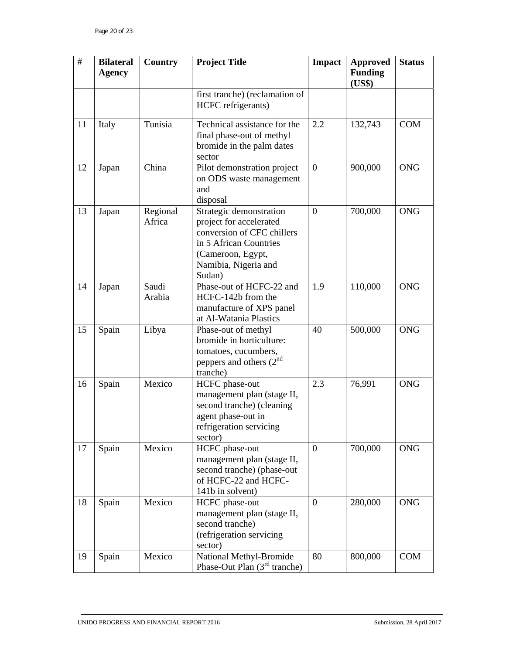| #  | <b>Bilateral</b><br><b>Agency</b> | Country            | <b>Project Title</b>                                                                                                                                              | <b>Impact</b>    | <b>Approved</b><br><b>Funding</b><br>(US\$) | <b>Status</b> |
|----|-----------------------------------|--------------------|-------------------------------------------------------------------------------------------------------------------------------------------------------------------|------------------|---------------------------------------------|---------------|
|    |                                   |                    | first tranche) (reclamation of<br>HCFC refrigerants)                                                                                                              |                  |                                             |               |
| 11 | Italy                             | Tunisia            | Technical assistance for the<br>final phase-out of methyl<br>bromide in the palm dates<br>sector                                                                  | 2.2              | 132,743                                     | <b>COM</b>    |
| 12 | Japan                             | China              | Pilot demonstration project<br>on ODS waste management<br>and<br>disposal                                                                                         | $\overline{0}$   | 900,000                                     | <b>ONG</b>    |
| 13 | Japan                             | Regional<br>Africa | Strategic demonstration<br>project for accelerated<br>conversion of CFC chillers<br>in 5 African Countries<br>(Cameroon, Egypt,<br>Namibia, Nigeria and<br>Sudan) | $\overline{0}$   | 700,000                                     | <b>ONG</b>    |
| 14 | Japan                             | Saudi<br>Arabia    | Phase-out of HCFC-22 and<br>HCFC-142b from the<br>manufacture of XPS panel<br>at Al-Watania Plastics                                                              | 1.9              | 110,000                                     | <b>ONG</b>    |
| 15 | Spain                             | Libya              | Phase-out of methyl<br>bromide in horticulture:<br>tomatoes, cucumbers,<br>peppers and others $(2^{nd}$<br>tranche)                                               | 40               | 500,000                                     | <b>ONG</b>    |
| 16 | Spain                             | Mexico             | HCFC phase-out<br>management plan (stage II,<br>second tranche) (cleaning<br>agent phase-out in<br>refrigeration servicing<br>sector)                             | 2.3              | 76,991                                      | <b>ONG</b>    |
| 17 | Spain                             | Mexico             | HCFC phase-out<br>management plan (stage II,<br>second tranche) (phase-out<br>of HCFC-22 and HCFC-<br>141b in solvent)                                            | $\boldsymbol{0}$ | 700,000                                     | <b>ONG</b>    |
| 18 | Spain                             | Mexico             | HCFC phase-out<br>management plan (stage II,<br>second tranche)<br>(refrigeration servicing<br>sector)                                                            | $\boldsymbol{0}$ | 280,000                                     | <b>ONG</b>    |
| 19 | Spain                             | Mexico             | National Methyl-Bromide<br>Phase-Out Plan (3 <sup>rd</sup> tranche)                                                                                               | 80               | 800,000                                     | <b>COM</b>    |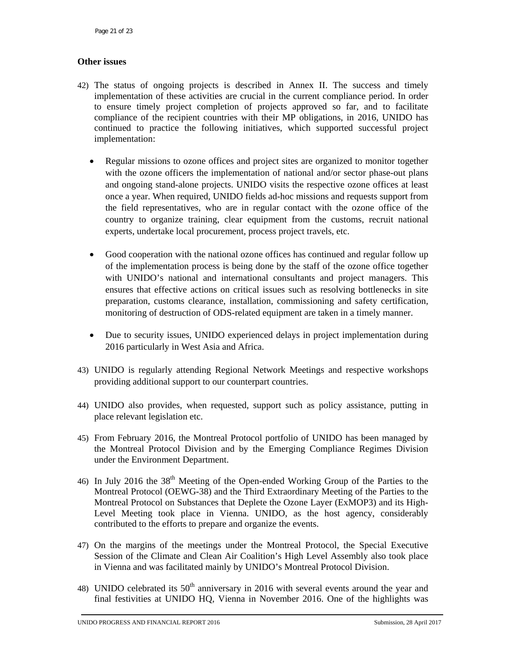# **Other issues**

- 42) The status of ongoing projects is described in Annex II. The success and timely implementation of these activities are crucial in the current compliance period. In order to ensure timely project completion of projects approved so far, and to facilitate compliance of the recipient countries with their MP obligations, in 2016, UNIDO has continued to practice the following initiatives, which supported successful project implementation:
	- Regular missions to ozone offices and project sites are organized to monitor together with the ozone officers the implementation of national and/or sector phase-out plans and ongoing stand-alone projects. UNIDO visits the respective ozone offices at least once a year. When required, UNIDO fields ad-hoc missions and requests support from the field representatives, who are in regular contact with the ozone office of the country to organize training, clear equipment from the customs, recruit national experts, undertake local procurement, process project travels, etc.
	- Good cooperation with the national ozone offices has continued and regular follow up of the implementation process is being done by the staff of the ozone office together with UNIDO's national and international consultants and project managers. This ensures that effective actions on critical issues such as resolving bottlenecks in site preparation, customs clearance, installation, commissioning and safety certification, monitoring of destruction of ODS-related equipment are taken in a timely manner.
	- Due to security issues, UNIDO experienced delays in project implementation during 2016 particularly in West Asia and Africa.
- 43) UNIDO is regularly attending Regional Network Meetings and respective workshops providing additional support to our counterpart countries.
- 44) UNIDO also provides, when requested, support such as policy assistance, putting in place relevant legislation etc.
- 45) From February 2016, the Montreal Protocol portfolio of UNIDO has been managed by the Montreal Protocol Division and by the Emerging Compliance Regimes Division under the Environment Department.
- 46) In July 2016 the 38<sup>th</sup> Meeting of the Open-ended Working Group of the Parties to the Montreal Protocol (OEWG-38) and the Third Extraordinary Meeting of the Parties to the Montreal Protocol on Substances that Deplete the Ozone Layer (ExMOP3) and its High-Level Meeting took place in Vienna. UNIDO, as the host agency, considerably contributed to the efforts to prepare and organize the events.
- 47) On the margins of the meetings under the Montreal Protocol, the Special Executive Session of the Climate and Clean Air Coalition's High Level Assembly also took place in Vienna and was facilitated mainly by UNIDO's Montreal Protocol Division.
- 48) UNIDO celebrated its  $50<sup>th</sup>$  anniversary in 2016 with several events around the year and final festivities at UNIDO HQ, Vienna in November 2016. One of the highlights was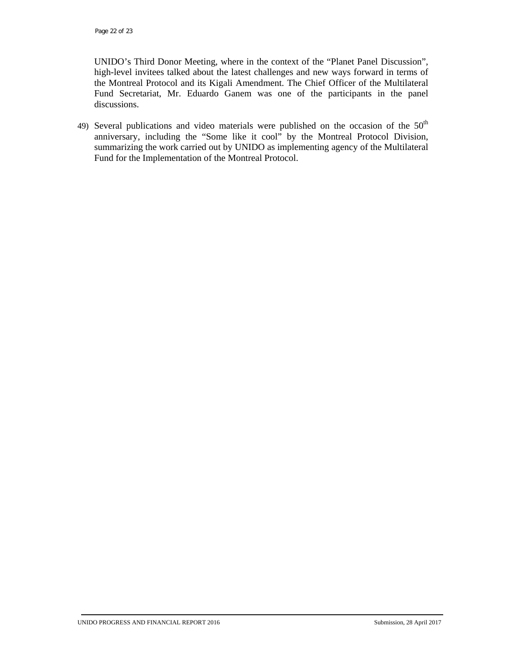UNIDO's Third Donor Meeting, where in the context of the "Planet Panel Discussion", high-level invitees talked about the latest challenges and new ways forward in terms of the Montreal Protocol and its Kigali Amendment. The Chief Officer of the Multilateral Fund Secretariat, Mr. Eduardo Ganem was one of the participants in the panel discussions.

49) Several publications and video materials were published on the occasion of the  $50<sup>th</sup>$ anniversary, including the "Some like it cool" by the Montreal Protocol Division, summarizing the work carried out by UNIDO as implementing agency of the Multilateral Fund for the Implementation of the Montreal Protocol.